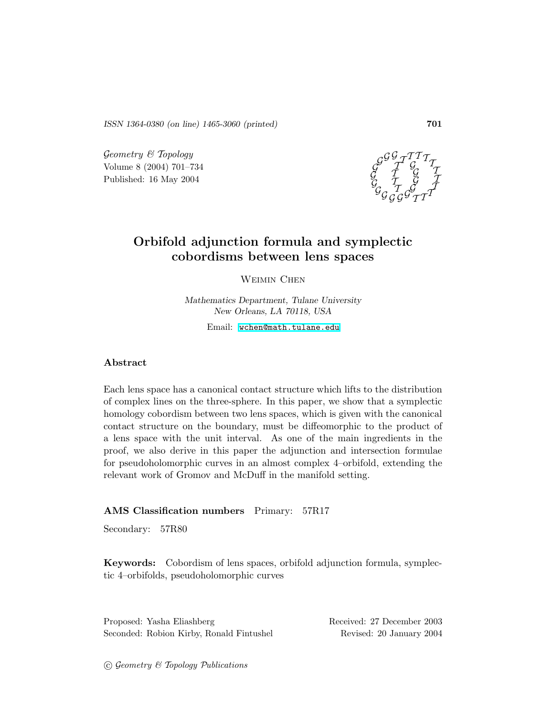ISSN 1364-0380 (on line) 1465-3060 (printed) 701

 $Geometry \& Topology$ Volume 8 (2004) 701–734 Published: 16 May 2004



# Orbifold adjunction formula and symplectic cobordisms between lens spaces

WEIMIN CHEN

Mathematics Department, Tulane University New Orleans, LA 70118, USA

Email: [wchen@math.tulane.edu](mailto:wchen@math.tulane.edu)

### Abstract

Each lens space has a canonical contact structure which lifts to the distribution of complex lines on the three-sphere. In this paper, we show that a symplectic homology cobordism between two lens spaces, which is given with the canonical contact structure on the boundary, must be diffeomorphic to the product of a lens space with the unit interval. As one of the main ingredients in the proof, we also derive in this paper the adjunction and intersection formulae for pseudoholomorphic curves in an almost complex 4–orbifold, extending the relevant work of Gromov and McDuff in the manifold setting.

### AMS Classification numbers Primary: 57R17

Secondary: 57R80

Keywords: Cobordism of lens spaces, orbifold adjunction formula, symplectic 4–orbifolds, pseudoholomorphic curves

Proposed: Yasha Eliashberg Received: 27 December 2003 Seconded: Robion Kirby, Ronald Fintushel Revised: 20 January 2004

 $\odot$  Geometry & Topology Publications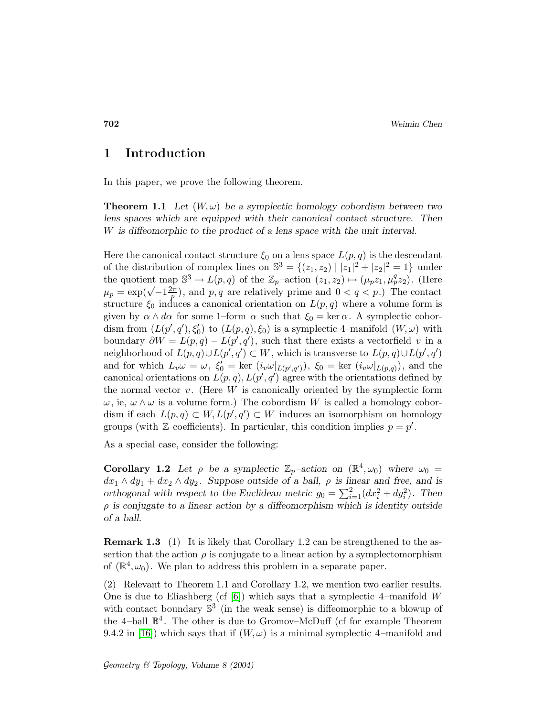## 1 Introduction

In this paper, we prove the following theorem.

**Theorem 1.1** Let  $(W, \omega)$  be a symplectic homology cobordism between two lens spaces which are equipped with their canonical contact structure. Then W is diffeomorphic to the product of a lens space with the unit interval.

Here the canonical contact structure  $\xi_0$  on a lens space  $L(p,q)$  is the descendant of the distribution of complex lines on  $\mathbb{S}^3 = \{(z_1, z_2) \mid |z_1|^2 + |z_2|^2 = 1\}$  under the quotient map  $\mathbb{S}^3 \to L(p,q)$  of the  $\mathbb{Z}_p$ -action  $(z_1, z_2) \mapsto (\mu_p z_1, \mu_p^q z_2)$ . (Here  $\mu_p = \exp(\sqrt{-1}\frac{2\pi}{p})$  $\frac{p}{p}$ , and p,q are relatively prime and  $0 < q < p$ .) The contact structure  $\xi_0$  induces a canonical orientation on  $L(p,q)$  where a volume form is given by  $\alpha \wedge d\alpha$  for some 1–form  $\alpha$  such that  $\xi_0 = \ker \alpha$ . A symplectic cobordism from  $(L(p', q'), \xi'_0)$  to  $(L(p, q), \xi_0)$  is a symplectic 4-manifold  $(W, \omega)$  with boundary  $\partial W = L(p, q) - L(p', q')$ , such that there exists a vectorfield v in a neighborhood of  $L(p,q) \cup L(p',q') \subset W$ , which is transverse to  $L(p,q) \cup L(p',q')$ and for which  $L_v \omega = \omega$ ,  $\xi_0' = \ker(i_v \omega|_{L(p',q')})$ ,  $\xi_0 = \ker(i_v \omega|_{L(p,q)})$ , and the canonical orientations on  $L(p,q)$ ,  $L(p',q')$  agree with the orientations defined by the normal vector  $v$ . (Here  $W$  is canonically oriented by the symplectic form  $\omega$ , ie,  $\omega \wedge \omega$  is a volume form.) The cobordism W is called a homology cobordism if each  $L(p,q) \subset W$ ,  $L(p',q') \subset W$  induces an isomorphism on homology groups (with  $\mathbb Z$  coefficients). In particular, this condition implies  $p = p'$ .

As a special case, consider the following:

**Corollary 1.2** Let  $\rho$  be a symplectic  $\mathbb{Z}_p$ -action on  $(\mathbb{R}^4, \omega_0)$  where  $\omega_0 =$  $dx_1 \wedge dy_1 + dx_2 \wedge dy_2$ . Suppose outside of a ball,  $\rho$  is linear and free, and is orthogonal with respect to the Euclidean metric  $g_0 = \sum_{i=1}^2 (dx_i^2 + dy_i^2)$ . Then  $\rho$  is conjugate to a linear action by a diffeomorphism which is identity outside of a ball.

Remark 1.3 (1) It is likely that Corollary 1.2 can be strengthened to the assertion that the action  $\rho$  is conjugate to a linear action by a symplectomorphism of  $(\mathbb{R}^4, \omega_0)$ . We plan to address this problem in a separate paper.

(2) Relevant to Theorem 1.1 and Corollary 1.2, we mention two earlier results. One is due to Eliashberg (cf  $[6]$ ) which says that a symplectic 4–manifold W with contact boundary  $\mathbb{S}^3$  (in the weak sense) is diffeomorphic to a blowup of the 4-ball  $\mathbb{B}^4$ . The other is due to Gromov–McDuff (cf for example Theorem 9.4.2 in [\[16\]](#page-33-1)) which says that if  $(W, \omega)$  is a minimal symplectic 4–manifold and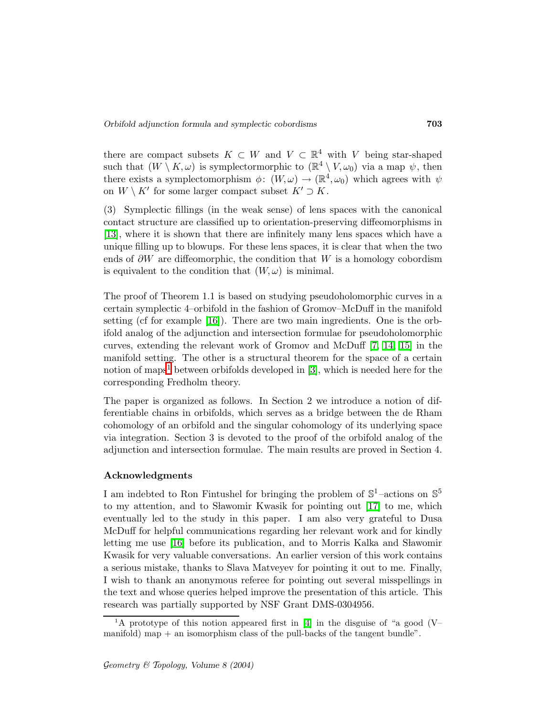there are compact subsets  $K \subset W$  and  $V \subset \mathbb{R}^4$  with V being star-shaped such that  $(W \setminus K, \omega)$  is symplectormorphic to  $(\mathbb{R}^4 \setminus V, \omega_0)$  via a map  $\psi$ , then there exists a symplectomorphism  $\phi: (W, \omega) \to (\mathbb{R}^4, \omega_0)$  which agrees with  $\psi$ on  $W \setminus K'$  for some larger compact subset  $K' \supset K$ .

(3) Symplectic fillings (in the weak sense) of lens spaces with the canonical contact structure are classified up to orientation-preserving diffeomorphisms in [\[13\]](#page-33-2), where it is shown that there are infinitely many lens spaces which have a unique filling up to blowups. For these lens spaces, it is clear that when the two ends of  $\partial W$  are diffeomorphic, the condition that W is a homology cobordism is equivalent to the condition that  $(W, \omega)$  is minimal.

The proof of Theorem 1.1 is based on studying pseudoholomorphic curves in a certain symplectic 4–orbifold in the fashion of Gromov–McDuff in the manifold setting (cf for example [\[16\]](#page-33-1)). There are two main ingredients. One is the orbifold analog of the adjunction and intersection formulae for pseudoholomorphic curves, extending the relevant work of Gromov and McDuff [\[7,](#page-33-3) [14,](#page-33-4) [15\]](#page-33-5) in the manifold setting. The other is a structural theorem for the space of a certain notion of maps<sup>[1](#page-2-0)</sup> between orbifolds developed in  $[3]$ , which is needed here for the corresponding Fredholm theory.

The paper is organized as follows. In Section 2 we introduce a notion of differentiable chains in orbifolds, which serves as a bridge between the de Rham cohomology of an orbifold and the singular cohomology of its underlying space via integration. Section 3 is devoted to the proof of the orbifold analog of the adjunction and intersection formulae. The main results are proved in Section 4.

#### Acknowledgments

I am indebted to Ron Fintushel for bringing the problem of  $\mathbb{S}^1$ -actions on  $\mathbb{S}^5$ to my attention, and to Shawomir Kwasik for pointing out  $[17]$  to me, which eventually led to the study in this paper. I am also very grateful to Dusa McDuff for helpful communications regarding her relevant work and for kindly letting me use  $[16]$  before its publication, and to Morris Kalka and Shawomir Kwasik for very valuable conversations. An earlier version of this work contains a serious mistake, thanks to Slava Matveyev for pointing it out to me. Finally, I wish to thank an anonymous referee for pointing out several misspellings in the text and whose queries helped improve the presentation of this article. This research was partially supported by NSF Grant DMS-0304956.

<span id="page-2-0"></span><sup>&</sup>lt;sup>1</sup>A prototype of this notion appeared first in [\[4\]](#page-33-7) in the disguise of "a good (V– manifold) map  $+$  an isomorphism class of the pull-backs of the tangent bundle".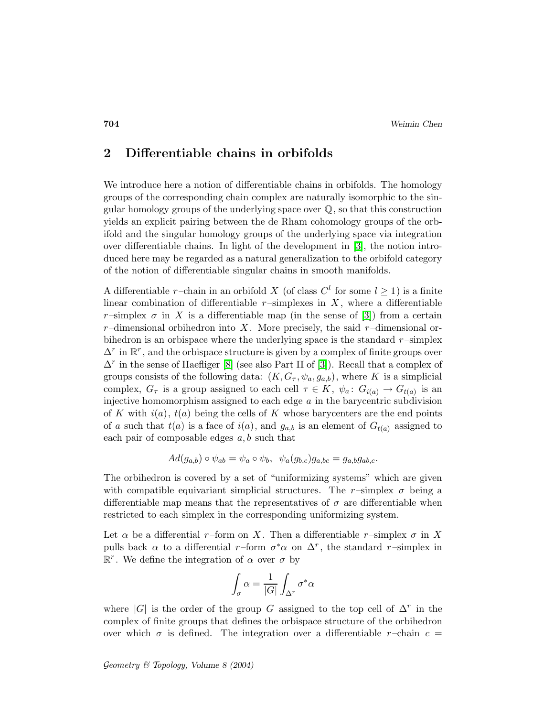## 2 Differentiable chains in orbifolds

We introduce here a notion of differentiable chains in orbifolds. The homology groups of the corresponding chain complex are naturally isomorphic to the singular homology groups of the underlying space over  $\mathbb{Q}$ , so that this construction yields an explicit pairing between the de Rham cohomology groups of the orbifold and the singular homology groups of the underlying space via integration over differentiable chains. In light of the development in [\[3\]](#page-32-0), the notion introduced here may be regarded as a natural generalization to the orbifold category of the notion of differentiable singular chains in smooth manifolds.

A differentiable r-chain in an orbifold X (of class  $C<sup>l</sup>$  for some  $l \ge 1$ ) is a finite linear combination of differentiable  $r$ -simplexes in  $X$ , where a differentiable r–simplex  $\sigma$  in X is a differentiable map (in the sense of [\[3\]](#page-32-0)) from a certain  $r$ –dimensional orbihedron into X. More precisely, the said  $r$ –dimensional orbihedron is an orbispace where the underlying space is the standard  $r$ –simplex  $\Delta^r$  in  $\mathbb{R}^r$ , and the orbispace structure is given by a complex of finite groups over  $\Delta^r$  in the sense of Haefliger [\[8\]](#page-33-8) (see also Part II of [\[3\]](#page-32-0)). Recall that a complex of groups consists of the following data:  $(K, G_{\tau}, \psi_a, g_{a,b})$ , where K is a simplicial complex,  $G_{\tau}$  is a group assigned to each cell  $\tau \in K$ ,  $\psi_a: G_{i(a)} \to G_{t(a)}$  is an injective homomorphism assigned to each edge  $a$  in the barycentric subdivision of K with  $i(a)$ ,  $t(a)$  being the cells of K whose barycenters are the end points of a such that  $t(a)$  is a face of  $i(a)$ , and  $g_{a,b}$  is an element of  $G_{t(a)}$  assigned to each pair of composable edges  $a, b$  such that

$$
Ad(g_{a,b}) \circ \psi_{ab} = \psi_a \circ \psi_b, \quad \psi_a(g_{b,c})g_{a,bc} = g_{a,b}g_{ab,c}.
$$

The orbihedron is covered by a set of "uniformizing systems" which are given with compatible equivariant simplicial structures. The r-simplex  $\sigma$  being a differentiable map means that the representatives of  $\sigma$  are differentiable when restricted to each simplex in the corresponding uniformizing system.

Let  $\alpha$  be a differential r–form on X. Then a differentiable r–simplex  $\sigma$  in X pulls back  $\alpha$  to a differential r–form  $\sigma^* \alpha$  on  $\Delta^r$ , the standard r–simplex in  $\mathbb{R}^r$ . We define the integration of  $\alpha$  over  $\sigma$  by

$$
\int_{\sigma}\alpha = \frac{1}{|G|}\int_{\Delta^r}\sigma^*\alpha
$$

where  $|G|$  is the order of the group G assigned to the top cell of  $\Delta^r$  in the complex of finite groups that defines the orbispace structure of the orbihedron over which  $\sigma$  is defined. The integration over a differentiable r–chain  $c =$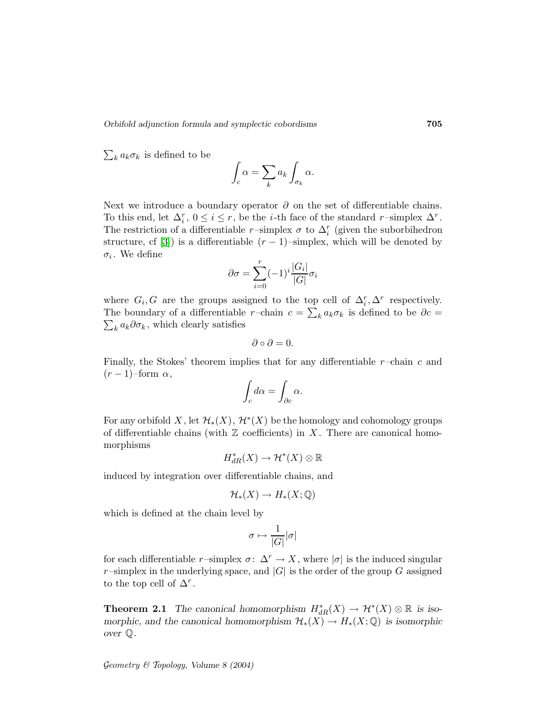Orbifold adjunction formula and symplectic cobordisms 705

 $\sum_k a_k \sigma_k$  is defined to be

$$
\int_c \alpha = \sum_k a_k \int_{\sigma_k} \alpha.
$$

Next we introduce a boundary operator  $\partial$  on the set of differentiable chains. To this end, let  $\Delta_i^r$ ,  $0 \le i \le r$ , be the *i*-th face of the standard r-simplex  $\Delta^r$ . The restriction of a differentiable  $r$ -simplex  $\sigma$  to  $\Delta_i^r$  (given the suborbihedron structure, cf [\[3\]](#page-32-0)) is a differentiable  $(r-1)$ –simplex, which will be denoted by  $\sigma_i$ . We define

$$
\partial \sigma = \sum_{i=0}^{r} (-1)^i \frac{|G_i|}{|G|} \sigma_i
$$

where  $G_i, G$  are the groups assigned to the top cell of  $\Delta_i^r, \Delta^r$  respectively. The boundary of a differentiable r-chain  $c = \sum_k a_k \sigma_k$  is defined to be  $\partial c =$  $\sum_k a_k \partial \sigma_k$ , which clearly satisfies

$$
\partial \circ \partial = 0.
$$

Finally, the Stokes' theorem implies that for any differentiable  $r$ –chain c and  $(r-1)$ –form  $\alpha$ ,

$$
\int_c d\alpha = \int_{\partial c} \alpha.
$$

For any orbifold  $X$ , let  $\mathcal{H}_*(X)$ ,  $\mathcal{H}^*(X)$  be the homology and cohomology groups of differentiable chains (with  $\mathbb Z$  coefficients) in X. There are canonical homomorphisms

$$
H^*_{dR}(X) \to \mathcal{H}^*(X) \otimes \mathbb{R}
$$

induced by integration over differentiable chains, and

$$
\mathcal{H}_*(X)\to H_*(X;\mathbb{Q})
$$

which is defined at the chain level by

$$
\sigma\mapsto\frac{1}{|G|}|\sigma|
$$

for each differentiable r–simplex  $\sigma: \Delta^r \to X$ , where  $|\sigma|$  is the induced singular r–simplex in the underlying space, and  $|G|$  is the order of the group G assigned to the top cell of  $\Delta^r$ .

**Theorem 2.1** The canonical homomorphism  $H^*_{dR}(X) \to \mathcal{H}^*(X) \otimes \mathbb{R}$  is isomorphic, and the canonical homomorphism  $\mathcal{H}_*(X) \to H_*(X; \mathbb{Q})$  is isomorphic over Q.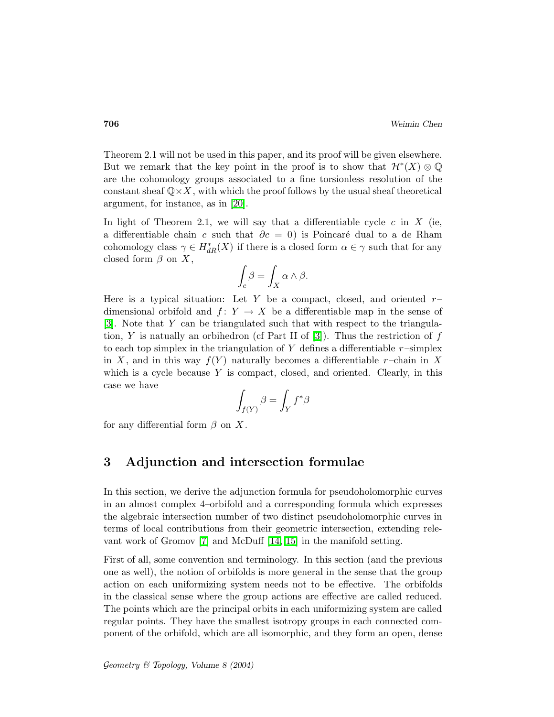Theorem 2.1 will not be used in this paper, and its proof will be given elsewhere. But we remark that the key point in the proof is to show that  $\mathcal{H}^*(X) \otimes \mathbb{Q}$ are the cohomology groups associated to a fine torsionless resolution of the constant sheaf  $\mathbb{Q}\times X$ , with which the proof follows by the usual sheaf theoretical argument, for instance, as in [\[20\]](#page-33-9).

In light of Theorem 2.1, we will say that a differentiable cycle  $c$  in  $X$  (ie, a differentiable chain c such that  $\partial c = 0$  is Poincaré dual to a de Rham cohomology class  $\gamma \in H^*_{dR}(X)$  if there is a closed form  $\alpha \in \gamma$  such that for any closed form  $\beta$  on X,

$$
\int_c \beta = \int_X \alpha \wedge \beta.
$$

Here is a typical situation: Let Y be a compact, closed, and oriented  $r$ dimensional orbifold and  $f: Y \to X$  be a differentiable map in the sense of [\[3\]](#page-32-0). Note that Y can be triangulated such that with respect to the triangula-tion, Y is natually an orbihedron (cf Part II of [\[3\]](#page-32-0)). Thus the restriction of  $f$ to each top simplex in the triangulation of Y defines a differentiable  $r$ –simplex in X, and in this way  $f(Y)$  naturally becomes a differentiable r–chain in X which is a cycle because  $Y$  is compact, closed, and oriented. Clearly, in this case we have

$$
\int_{f(Y)} \beta = \int_Y f^* \beta
$$

for any differential form  $\beta$  on X.

## 3 Adjunction and intersection formulae

In this section, we derive the adjunction formula for pseudoholomorphic curves in an almost complex 4–orbifold and a corresponding formula which expresses the algebraic intersection number of two distinct pseudoholomorphic curves in terms of local contributions from their geometric intersection, extending relevant work of Gromov [\[7\]](#page-33-3) and McDuff [\[14,](#page-33-4) [15\]](#page-33-5) in the manifold setting.

First of all, some convention and terminology. In this section (and the previous one as well), the notion of orbifolds is more general in the sense that the group action on each uniformizing system needs not to be effective. The orbifolds in the classical sense where the group actions are effective are called reduced. The points which are the principal orbits in each uniformizing system are called regular points. They have the smallest isotropy groups in each connected component of the orbifold, which are all isomorphic, and they form an open, dense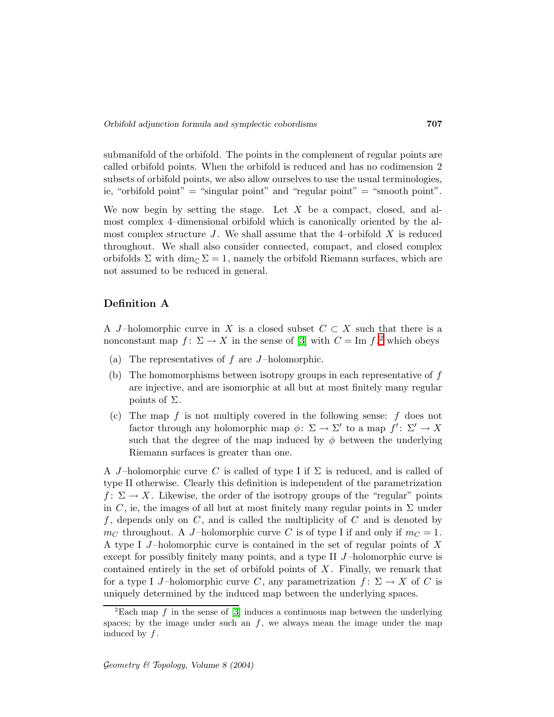submanifold of the orbifold. The points in the complement of regular points are called orbifold points. When the orbifold is reduced and has no codimension 2 subsets of orbifold points, we also allow ourselves to use the usual terminologies, ie, "orbifold point" = "singular point" and "regular point" = "smooth point".

We now begin by setting the stage. Let  $X$  be a compact, closed, and almost complex 4–dimensional orbifold which is canonically oriented by the almost complex structure  $J$ . We shall assume that the 4-orbifold  $X$  is reduced throughout. We shall also consider connected, compact, and closed complex orbifolds  $\Sigma$  with dim<sub>C</sub>  $\Sigma = 1$ , namely the orbifold Riemann surfaces, which are not assumed to be reduced in general.

## Definition A

A J-holomorphic curve in X is a closed subset  $C \subset X$  such that there is a nonconstant map  $f: \Sigma \to X$  in the sense of [\[3\]](#page-32-0) with  $C = \text{Im } f, ^2$  $C = \text{Im } f, ^2$  which obeys

- (a) The representatives of  $f$  are  $J$ -holomorphic.
- (b) The homomorphisms between isotropy groups in each representative of f are injective, and are isomorphic at all but at most finitely many regular points of  $\Sigma$ .
- (c) The map f is not multiply covered in the following sense: f does not factor through any holomorphic map  $\phi: \Sigma \to \Sigma'$  to a map  $f' \colon \Sigma' \to X$ such that the degree of the map induced by  $\phi$  between the underlying Riemann surfaces is greater than one.

A J-holomorphic curve C is called of type I if  $\Sigma$  is reduced, and is called of type II otherwise. Clearly this definition is independent of the parametrization  $f: \Sigma \to X$ . Likewise, the order of the isotropy groups of the "regular" points in C, ie, the images of all but at most finitely many regular points in  $\Sigma$  under  $f$ , depends only on  $C$ , and is called the multiplicity of  $C$  and is denoted by  $m<sub>C</sub>$  throughout. A J-holomorphic curve C is of type I if and only if  $m<sub>C</sub> = 1$ . A type I  $J$ -holomorphic curve is contained in the set of regular points of X except for possibly finitely many points, and a type II  $J$ -holomorphic curve is contained entirely in the set of orbifold points of  $X$ . Finally, we remark that for a type I J-holomorphic curve C, any parametrization  $f: \Sigma \to X$  of C is uniquely determined by the induced map between the underlying spaces.

<span id="page-6-0"></span><sup>&</sup>lt;sup>2</sup>Each map f in the sense of [\[3\]](#page-32-0) induces a continuous map between the underlying spaces; by the image under such an  $f$ , we always mean the image under the map induced by  $f$ .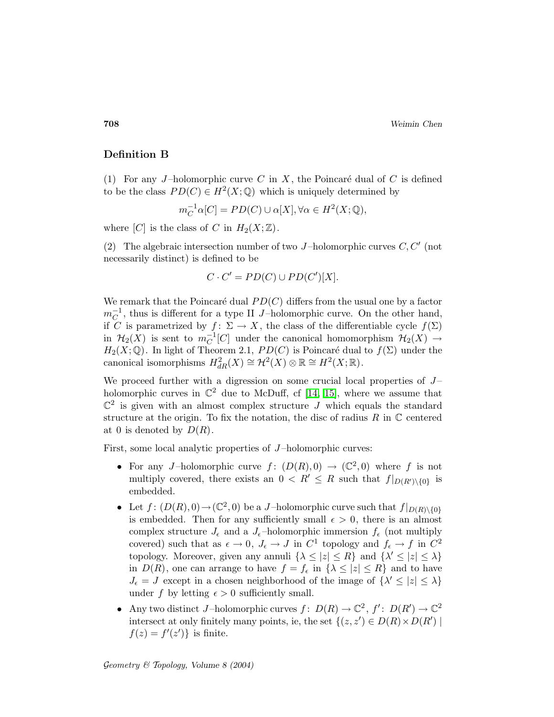## Definition B

(1) For any J-holomorphic curve C in X, the Poincaré dual of C is defined to be the class  $PD(C) \in H^2(X; \mathbb{Q})$  which is uniquely determined by

 $m_C^{-1}\alpha[C] = PD(C) \cup \alpha[X], \forall \alpha \in H^2(X; \mathbb{Q}),$ 

where  $[C]$  is the class of C in  $H_2(X;\mathbb{Z})$ .

(2) The algebraic intersection number of two J-holomorphic curves  $C, C'$  (not necessarily distinct) is defined to be

$$
C \cdot C' = PD(C) \cup PD(C')[X].
$$

We remark that the Poincaré dual  $PD(C)$  differs from the usual one by a factor  $m_C^{-1}$ , thus is different for a type II J-holomorphic curve. On the other hand, if C is parametrized by  $f: \Sigma \to X$ , the class of the differentiable cycle  $f(\Sigma)$ in  $\mathcal{H}_2(X)$  is sent to  $m_C^{-1}[C]$  under the canonical homomorphism  $\mathcal{H}_2(X) \to$  $H_2(X; \mathbb{Q})$ . In light of Theorem 2.1,  $PD(C)$  is Poincaré dual to  $f(\Sigma)$  under the canonical isomorphisms  $H^2_{dR}(X) \cong \mathcal{H}^2(X) \otimes \mathbb{R} \cong H^2(X; \mathbb{R})$ .

We proceed further with a digression on some crucial local properties of  $J$ holomorphic curves in  $\mathbb{C}^2$  due to McDuff, cf [\[14,](#page-33-4) [15\]](#page-33-5), where we assume that  $\mathbb{C}^2$  is given with an almost complex structure J which equals the standard structure at the origin. To fix the notation, the disc of radius  $R$  in  $\mathbb C$  centered at 0 is denoted by  $D(R)$ .

First, some local analytic properties of J-holomorphic curves:

- For any J-holomorphic curve  $f: (D(R), 0) \to (\mathbb{C}^2, 0)$  where f is not multiply covered, there exists an  $0 < R' \leq R$  such that  $f|_{D(R')\setminus\{0\}}$  is embedded.
- Let  $f: (D(R), 0) \to (\mathbb{C}^2, 0)$  be a J-holomorphic curve such that  $f|_{D(R)\setminus\{0\}}$ is embedded. Then for any sufficiently small  $\epsilon > 0$ , there is an almost complex structure  $J_{\epsilon}$  and a  $J_{\epsilon}$ -holomorphic immersion  $f_{\epsilon}$  (not multiply covered) such that as  $\epsilon \to 0$ ,  $J_{\epsilon} \to J$  in  $C^1$  topology and  $f_{\epsilon} \to f$  in  $C^2$ topology. Moreover, given any annuli  $\{\lambda \leq |z| \leq R\}$  and  $\{\lambda' \leq |z| \leq \lambda\}$ in  $D(R)$ , one can arrange to have  $f = f_{\epsilon}$  in  $\{\lambda \leq |z| \leq R\}$  and to have  $J_{\epsilon} = J$  except in a chosen neighborhood of the image of  $\{\lambda' \leq |z| \leq \lambda\}$ under f by letting  $\epsilon > 0$  sufficiently small.
- Any two distinct J-holomorphic curves  $f: D(R) \to \mathbb{C}^2$ ,  $f': D(R') \to \mathbb{C}^2$ intersect at only finitely many points, ie, the set  $\{(z, z') \in D(R) \times D(R') \mid$  $f(z) = f'(z')$ } is finite.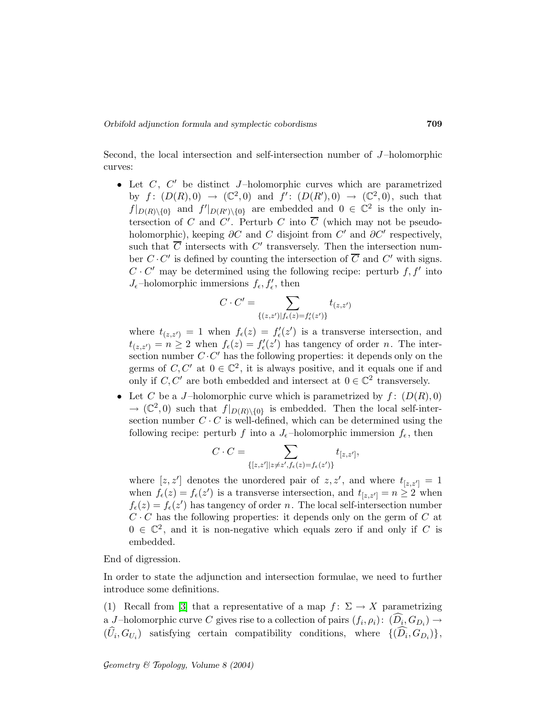Second, the local intersection and self-intersection number of J-holomorphic curves:

• Let  $C$ ,  $C'$  be distinct  $J$ -holomorphic curves which are parametrized by  $f: (D(R),0) \rightarrow (\mathbb{C}^2,0)$  and  $f': (D(R'),0) \rightarrow (\mathbb{C}^2,0)$ , such that  $f|_{D(R)\setminus\{0\}}$  and  $f'|_{D(R')\setminus\{0\}}$  are embedded and  $0 \in \mathbb{C}^2$  is the only intersection of C and  $C'$ . Perturb C into C (which may not be pseudoholomorphic), keeping  $\partial C$  and C disjoint from  $C'$  and  $\partial C'$  respectively, such that C intersects with  $C'$  transversely. Then the intersection number  $C \cdot C'$  is defined by counting the intersection of  $C$  and  $C'$  with signs.  $C \cdot C'$  may be determined using the following recipe: perturb  $f, f'$  into  $J_{\epsilon}$ -holomorphic immersions  $f_{\epsilon}, f'_{\epsilon}$ , then

$$
C \cdot C' = \sum_{\{(z,z')|f_{\epsilon}(z) = f'_{\epsilon}(z')\}} t_{(z,z')}
$$

where  $t_{(z,z')} = 1$  when  $f_{\epsilon}(z) = f'_{\epsilon}(z')$  is a transverse intersection, and  $t_{(z,z')} = n \geq 2$  when  $f_{\epsilon}(z) = f'_{\epsilon}(z')$  has tangency of order n. The intersection number  $C \cdot C'$  has the following properties: it depends only on the germs of  $C, C'$  at  $0 \in \mathbb{C}^2$ , it is always positive, and it equals one if and only if  $C, C'$  are both embedded and intersect at  $0 \in \mathbb{C}^2$  transversely.

• Let C be a J-holomorphic curve which is parametrized by  $f: (D(R), 0)$  $\rightarrow$  ( $\mathbb{C}^2$ , 0) such that  $f|_{D(R)\setminus\{0\}}$  is embedded. Then the local self-intersection number  $C \cdot C$  is well-defined, which can be determined using the following recipe: perturb f into a  $J_{\epsilon}$ -holomorphic immersion  $f_{\epsilon}$ , then

$$
C \cdot C = \sum_{\{[z,z']|z \neq z', f_{\epsilon}(z) = f_{\epsilon}(z')\}} t_{[z,z']},
$$

where  $[z, z']$  denotes the unordered pair of  $z, z'$ , and where  $t_{[z, z']} = 1$ when  $f_{\epsilon}(z) = f_{\epsilon}(z')$  is a transverse intersection, and  $t_{[z,z']} = n \geq 2$  when  $f_{\epsilon}(z) = f_{\epsilon}(z')$  has tangency of order n. The local self-intersection number  $C \cdot C$  has the following properties: it depends only on the germ of  $C$  at  $0 \in \mathbb{C}^2$ , and it is non-negative which equals zero if and only if C is embedded.

End of digression.

In order to state the adjunction and intersection formulae, we need to further introduce some definitions.

(1) Recall from [\[3\]](#page-32-0) that a representative of a map  $f: \Sigma \to X$  parametrizing a *J*-holomorphic curve *C* gives rise to a collection of pairs  $(f_i, \rho_i)$ :  $(D_i, G_{D_i}) \rightarrow$  $(U_i, G_{U_i})$  satisfying certain compatibility conditions, where  $\{(D_i, G_{D_i})\},\$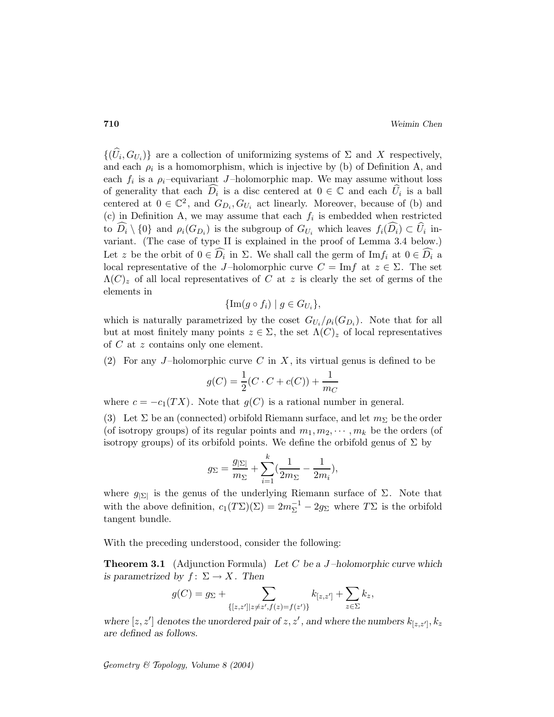$\{(U_i, G_{U_i})\}$  are a collection of uniformizing systems of  $\Sigma$  and X respectively, and each  $\rho_i$  is a homomorphism, which is injective by (b) of Definition A, and each  $f_i$  is a  $\rho_i$ -equivariant J-holomorphic map. We may assume without loss of generality that each  $D_i$  is a disc centered at  $0 \in \mathbb{C}$  and each  $U_i$  is a ball centered at  $0 \in \mathbb{C}^2$ , and  $G_{D_i}, G_{U_i}$  act linearly. Moreover, because of (b) and (c) in Definition A, we may assume that each  $f_i$  is embedded when restricted to  $D_i \setminus \{0\}$  and  $\rho_i(G_{D_i})$  is the subgroup of  $G_{U_i}$  which leaves  $f_i(D_i) \subset U_i$  invariant. (The case of type II is explained in the proof of Lemma 3.4 below.) Let z be the orbit of  $0 \in D_i$  in  $\Sigma$ . We shall call the germ of  $\text{Im} f_i$  at  $0 \in D_i$  a local representative of the J-holomorphic curve  $C = \text{Im} f$  at  $z \in \Sigma$ . The set  $\Lambda(C)_z$  of all local representatives of C at z is clearly the set of germs of the elements in

$$
\{\text{Im}(g \circ f_i) \mid g \in G_{U_i}\},\
$$

which is naturally parametrized by the coset  $G_{U_i}/\rho_i(G_{D_i})$ . Note that for all but at most finitely many points  $z \in \Sigma$ , the set  $\Lambda(C)_z$  of local representatives of C at z contains only one element.

(2) For any J-holomorphic curve C in X, its virtual genus is defined to be

$$
g(C) = \frac{1}{2}(C \cdot C + c(C)) + \frac{1}{m_C}
$$

where  $c = -c_1(TX)$ . Note that  $g(C)$  is a rational number in general.

(3) Let  $\Sigma$  be an (connected) orbifold Riemann surface, and let  $m_{\Sigma}$  be the order (of isotropy groups) of its regular points and  $m_1, m_2, \cdots, m_k$  be the orders (of isotropy groups) of its orbifold points. We define the orbifold genus of  $\Sigma$  by

$$
g_{\Sigma} = \frac{g_{|\Sigma|}}{m_{\Sigma}} + \sum_{i=1}^{k} \left(\frac{1}{2m_{\Sigma}} - \frac{1}{2m_i}\right),
$$

where  $g_{|\Sigma|}$  is the genus of the underlying Riemann surface of  $\Sigma$ . Note that with the above definition,  $c_1(T\Sigma)(\Sigma) = 2m_{\Sigma}^{-1} - 2g_{\Sigma}$  where  $T\Sigma$  is the orbifold tangent bundle.

With the preceding understood, consider the following:

**Theorem 3.1** (Adjunction Formula) Let C be a J-holomorphic curve which is parametrized by  $f: \Sigma \to X$ . Then

$$
g(C) = g_{\Sigma} + \sum_{\{[z,z']|z \neq z',f(z)=f(z')\}} k_{[z,z']} + \sum_{z \in \Sigma} k_z,
$$

where  $[z, z']$  denotes the unordered pair of  $z, z'$ , and where the numbers  $k_{[z, z']}, k_z$ are defined as follows.

Geometry  $\mathcal C$  Topology, Volume 8 (2004)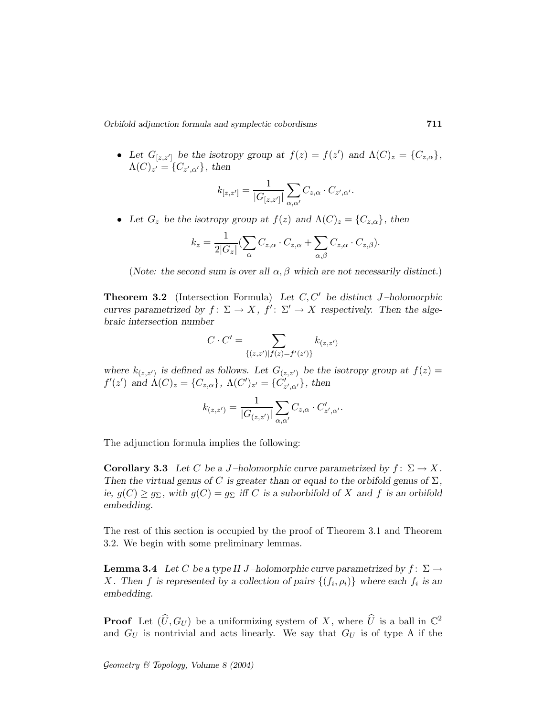Orbifold adjunction formula and symplectic cobordisms 711

• Let  $G_{[z,z']}$  be the isotropy group at  $f(z) = f(z')$  and  $\Lambda(C)_z = \{C_{z,\alpha}\},\$  $\Lambda(C)_{z'} = \{C_{z',\alpha'}\}\,$ , then

$$
k_{[z,z']} = \frac{1}{|G_{[z,z']}|} \sum_{\alpha,\alpha'} C_{z,\alpha} \cdot C_{z',\alpha'}.
$$

• Let  $G_z$  be the isotropy group at  $f(z)$  and  $\Lambda(C)_z = \{C_{z,\alpha}\}\,$ , then

$$
k_z = \frac{1}{2|G_z|} \left( \sum_{\alpha} C_{z,\alpha} \cdot C_{z,\alpha} + \sum_{\alpha,\beta} C_{z,\alpha} \cdot C_{z,\beta} \right).
$$

(Note: the second sum is over all  $\alpha, \beta$  which are not necessarily distinct.)

**Theorem 3.2** (Intersection Formula) Let  $C, C'$  be distinct J-holomorphic curves parametrized by  $f: \Sigma \to X$ ,  $f': \Sigma' \to X$  respectively. Then the algebraic intersection number

$$
C \cdot C' = \sum_{\{(z,z')|f(z)=f'(z')\}} k_{(z,z')}
$$

where  $k_{(z,z')}$  is defined as follows. Let  $G_{(z,z')}$  be the isotropy group at  $f(z) =$  $f'(z')$  and  $\Lambda(C)_z = \{C_{z,\alpha}\}, \ \Lambda(C')_{z'} = \{C'_{z',\alpha'}\}, \ \text{then}$ 

$$
k_{(z,z')} = \frac{1}{|G_{(z,z')}|} \sum_{\alpha,\alpha'} C_{z,\alpha} \cdot C'_{z',\alpha'}.
$$

The adjunction formula implies the following:

**Corollary 3.3** Let C be a J-holomorphic curve parametrized by  $f: \Sigma \to X$ . Then the virtual genus of C is greater than or equal to the orbifold genus of  $\Sigma$ , ie,  $g(C) \ge g_{\Sigma}$ , with  $g(C) = g_{\Sigma}$  iff C is a suborbifold of X and f is an orbifold embedding.

The rest of this section is occupied by the proof of Theorem 3.1 and Theorem 3.2. We begin with some preliminary lemmas.

**Lemma 3.4** Let C be a type II J-holomorphic curve parametrized by  $f: \Sigma \rightarrow$ X. Then f is represented by a collection of pairs  $\{(f_i, \rho_i)\}\$  where each  $f_i$  is an embedding.

**Proof** Let  $(\widehat{U}, G_U)$  be a uniformizing system of X, where  $\widehat{U}$  is a ball in  $\mathbb{C}^2$ and  $G_U$  is nontrivial and acts linearly. We say that  $G_U$  is of type A if the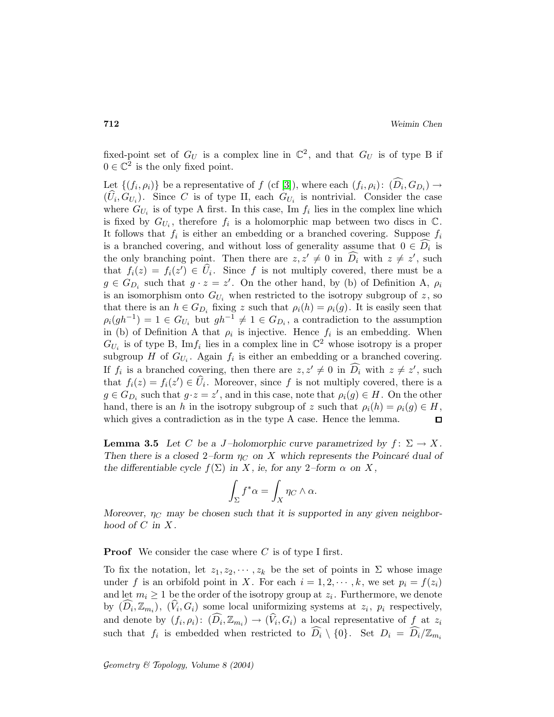fixed-point set of  $G_U$  is a complex line in  $\mathbb{C}^2$ , and that  $G_U$  is of type B if  $0 \in \mathbb{C}^2$  is the only fixed point.

Let  $\{(f_i, \rho_i)\}\)$  be a representative of  $f$  (cf [\[3\]](#page-32-0)), where each  $(f_i, \rho_i)$ :  $(D_i, G_{D_i}) \rightarrow$  $(U_i, G_{U_i})$ . Since C is of type II, each  $G_{U_i}$  is nontrivial. Consider the case where  $G_{U_i}$  is of type A first. In this case, Im  $f_i$  lies in the complex line which is fixed by  $G_{U_i}$ , therefore  $f_i$  is a holomorphic map between two discs in  $\mathbb{C}$ . It follows that  $f_i$  is either an embedding or a branched covering. Suppose  $f_i$ is a branched covering, and without loss of generality assume that  $0 \in D_i$  is the only branching point. Then there are  $z, z' \neq 0$  in  $D_i$  with  $z \neq z'$ , such that  $f_i(z) = f_i(z') \in U_i$ . Since f is not multiply covered, there must be a  $g \in G_{D_i}$  such that  $g \cdot z = z'$ . On the other hand, by (b) of Definition A,  $\rho_i$ is an isomorphism onto  $G_{U_i}$  when restricted to the isotropy subgroup of z, so that there is an  $h \in G_{D_i}$  fixing z such that  $\rho_i(h) = \rho_i(g)$ . It is easily seen that  $\rho_i(gh^{-1}) = 1 \in G_{U_i}$  but  $gh^{-1} \neq 1 \in G_{D_i}$ , a contradiction to the assumption in (b) of Definition A that  $\rho_i$  is injective. Hence  $f_i$  is an embedding. When  $G_{U_i}$  is of type B, Im $f_i$  lies in a complex line in  $\mathbb{C}^2$  whose isotropy is a proper subgroup H of  $G_{U_i}$ . Again  $f_i$  is either an embedding or a branched covering. If  $f_i$  is a branched covering, then there are  $z, z' \neq 0$  in  $D_i$  with  $z \neq z'$ , such that  $f_i(z) = f_i(z') \in U_i$ . Moreover, since f is not multiply covered, there is a  $g \in G_{D_i}$  such that  $g \cdot z = z'$ , and in this case, note that  $\rho_i(g) \in H$ . On the other hand, there is an h in the isotropy subgroup of z such that  $\rho_i(h) = \rho_i(g) \in H$ , which gives a contradiction as in the type A case. Hence the lemma.  $\Box$ 

**Lemma 3.5** Let C be a J-holomorphic curve parametrized by  $f: \Sigma \to X$ . Then there is a closed 2–form  $\eta_C$  on X which represents the Poincaré dual of the differentiable cycle  $f(\Sigma)$  in X, ie, for any 2–form  $\alpha$  on X,

$$
\int_{\Sigma} f^* \alpha = \int_X \eta_C \wedge \alpha.
$$

Moreover,  $\eta_C$  may be chosen such that it is supported in any given neighborhood of  $C$  in  $X$ .

**Proof** We consider the case where  $C$  is of type I first.

To fix the notation, let  $z_1, z_2, \dots, z_k$  be the set of points in  $\Sigma$  whose image under f is an orbifold point in X. For each  $i = 1, 2, \dots, k$ , we set  $p_i = f(z_i)$ and let  $m_i \geq 1$  be the order of the isotropy group at  $z_i$ . Furthermore, we denote by  $(D_i, \mathbb{Z}_{m_i})$ ,  $(V_i, G_i)$  some local uniformizing systems at  $z_i$ ,  $p_i$  respectively, and denote by  $(f_i, \rho_i)$ :  $(D_i, \mathbb{Z}_{m_i}) \to (V_i, G_i)$  a local representative of  $f$  at  $z_i$ such that  $f_i$  is embedded when restricted to  $D_i \setminus \{0\}$ . Set  $D_i = D_i / \mathbb{Z}_{m_i}$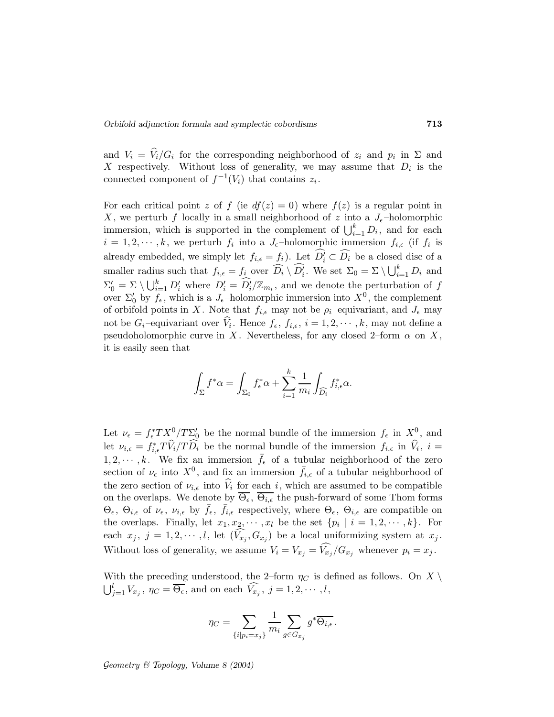and  $V_i = V_i/G_i$  for the corresponding neighborhood of  $z_i$  and  $p_i$  in  $\Sigma$  and X respectively. Without loss of generality, we may assume that  $D_i$  is the connected component of  $f^{-1}(V_i)$  that contains  $z_i$ .

For each critical point z of f (ie  $df(z) = 0$ ) where  $f(z)$  is a regular point in X, we perturb f locally in a small neighborhood of z into a  $J_{\epsilon}$ -holomorphic immersion, which is supported in the complement of  $\bigcup_{i=1}^{k} D_i$ , and for each  $i = 1, 2, \dots, k$ , we perturb  $f_i$  into a  $J_{\epsilon}$ -holomorphic immersion  $f_{i,\epsilon}$  (if  $f_i$  is already embedded, we simply let  $f_{i,\epsilon} = f_i$ ). Let  $D'_i \subset D_i$  be a closed disc of a smaller radius such that  $f_{i,\epsilon} = f_i$  over  $\widehat{D_i} \setminus \widehat{D_i'}$ . We set  $\Sigma_0 = \Sigma \setminus \bigcup_{i=1}^k D_i$  and  $\Sigma'_0 = \Sigma \setminus \bigcup_{i=1}^k D'_i$  where  $D'_i = \widehat{D'_i}/\mathbb{Z}_{m_i}$ , and we denote the perturbation of f over  $\Sigma'_0$  by  $f_{\epsilon}$ , which is a  $J_{\epsilon}$ -holomorphic immersion into  $X^0$ , the complement of orbifold points in X. Note that  $f_{i,\epsilon}$  may not be  $\rho_i$ -equivariant, and  $J_{\epsilon}$  may not be  $G_i$ -equivariant over  $V_i$ . Hence  $f_{\epsilon}$ ,  $f_{i,\epsilon}$ ,  $i = 1, 2, \dots, k$ , may not define a pseudoholomorphic curve in X. Nevertheless, for any closed 2–form  $\alpha$  on X, it is easily seen that

$$
\int_{\Sigma} f^* \alpha = \int_{\Sigma_0} f_{\epsilon}^* \alpha + \sum_{i=1}^k \frac{1}{m_i} \int_{\widehat{D}_i} f_{i,\epsilon}^* \alpha.
$$

Let  $\nu_{\epsilon} = f_{\epsilon}^* TX_{\epsilon}^0 / T \Sigma_{0}^{\prime}$  be the normal bundle of the immersion  $f_{\epsilon}$  in  $X_{\epsilon}^0$ , and let  $\nu_{i,\epsilon} = f_{i,\epsilon}^* T V_i / T D_i$  be the normal bundle of the immersion  $f_{i,\epsilon}$  in  $V_i$ ,  $i =$  $1, 2, \dots, k$ . We fix an immersion  $\bar{f}_{\epsilon}$  of a tubular neighborhood of the zero section of  $\nu_{\epsilon}$  into  $X^0$ , and fix an immersion  $\bar{f}_{i,\epsilon}$  of a tubular neighborhood of the zero section of  $\nu_{i,\epsilon}$  into  $V_i$  for each i, which are assumed to be compatible on the overlaps. We denote by  $\overline{\Theta_{\epsilon}}, \overline{\Theta_{i,\epsilon}}$  the push-forward of some Thom forms  $\Theta_{\epsilon}$ ,  $\Theta_{i,\epsilon}$  of  $\nu_{\epsilon}$ ,  $\nu_{i,\epsilon}$  by  $\bar{f}_{\epsilon}$ ,  $\bar{f}_{i,\epsilon}$  respectively, where  $\Theta_{\epsilon}$ ,  $\Theta_{i,\epsilon}$  are compatible on the overlaps. Finally, let  $x_1, x_2, \dots, x_l$  be the set  $\{p_i \mid i = 1, 2, \dots, k\}$ . For each  $x_j$ ,  $j = 1, 2, \dots, l$ , let  $(V_{x_j}, G_{x_j})$  be a local uniformizing system at  $x_j$ . Without loss of generality, we assume  $V_i = V_{x_j} = V_{x_j}/G_{x_j}$  whenever  $p_i = x_j$ .

With the preceding understood, the 2–form  $\eta_C$  is defined as follows. On X \  $\bigcup_{j=1}^{l} V_{x_j}$ ,  $\eta_C = \overline{\Theta_{\epsilon}}$ , and on each  $\widehat{V_{x_j}}$ ,  $j = 1, 2, \cdots, l$ ,

$$
\eta_C = \sum_{\{i|p_i = x_j\}} \frac{1}{m_i} \sum_{g \in G_{x_j}} g^* \overline{\Theta_{i,\epsilon}}.
$$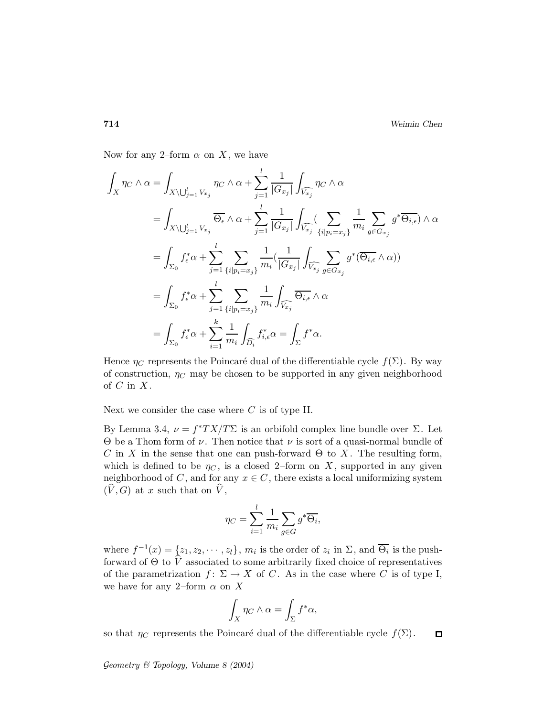Now for any 2–form  $\alpha$  on X, we have

$$
\int_{X} \eta_{C} \wedge \alpha = \int_{X \setminus \bigcup_{j=1}^{l} V_{x_{j}}} \eta_{C} \wedge \alpha + \sum_{j=1}^{l} \frac{1}{|G_{x_{j}}|} \int_{\widehat{V_{x_{j}}}} \eta_{C} \wedge \alpha
$$
\n
$$
= \int_{X \setminus \bigcup_{j=1}^{l} V_{x_{j}}} \overline{\Theta_{\epsilon}} \wedge \alpha + \sum_{j=1}^{l} \frac{1}{|G_{x_{j}}|} \int_{\widehat{V_{x_{j}}}} \left( \sum_{i \mid p_{i}=x_{j} \atop i \mid p_{i}=x_{j} \right)} \frac{1}{m_{i}} \sum_{g \in G_{x_{j}}} g^{*} \overline{\Theta_{i,\epsilon}} \wedge \alpha
$$
\n
$$
= \int_{\Sigma_{0}} f_{\epsilon}^{*} \alpha + \sum_{j=1}^{l} \sum_{\{i \mid p_{i}=x_{j}\}} \frac{1}{m_{i}} \left( \frac{1}{|G_{x_{j}}|} \int_{\widehat{V_{x_{j}}}} \sum_{g \in G_{x_{j}}} g^{*} (\overline{\Theta_{i,\epsilon}} \wedge \alpha) \right)
$$
\n
$$
= \int_{\Sigma_{0}} f_{\epsilon}^{*} \alpha + \sum_{j=1}^{l} \sum_{\{i \mid p_{i}=x_{j}\}} \frac{1}{m_{i}} \int_{\widehat{V_{x_{j}}}} \overline{\Theta_{i,\epsilon}} \wedge \alpha
$$
\n
$$
= \int_{\Sigma_{0}} f_{\epsilon}^{*} \alpha + \sum_{i=1}^{k} \frac{1}{m_{i}} \int_{\widehat{D_{i}}} f_{i,\epsilon}^{*} \alpha = \int_{\Sigma} f^{*} \alpha.
$$

Hence  $\eta_C$  represents the Poincaré dual of the differentiable cycle  $f(\Sigma)$ . By way of construction,  $\eta_C$  may be chosen to be supported in any given neighborhood of  $C$  in  $X$ .

Next we consider the case where  $C$  is of type II.

By Lemma 3.4,  $\nu = f^*TX/T\Sigma$  is an orbifold complex line bundle over  $\Sigma$ . Let  $\Theta$  be a Thom form of  $\nu$ . Then notice that  $\nu$  is sort of a quasi-normal bundle of C in X in the sense that one can push-forward  $\Theta$  to X. The resulting form, which is defined to be  $\eta_C$ , is a closed 2–form on X, supported in any given neighborhood of C, and for any  $x \in C$ , there exists a local uniformizing system  $(\hat{V}, G)$  at x such that on  $\hat{V}$ ,

$$
\eta_C = \sum_{i=1}^l \frac{1}{m_i} \sum_{g \in G} g^* \overline{\Theta_i},
$$

where  $f^{-1}(x) = \{z_1, z_2, \cdots, z_l\}$ ,  $m_i$  is the order of  $z_i$  in  $\Sigma$ , and  $\overline{\Theta_i}$  is the pushforward of  $\Theta$  to  $\hat{V}$  associated to some arbitrarily fixed choice of representatives of the parametrization  $f: \Sigma \to X$  of C. As in the case where C is of type I, we have for any 2–form  $\alpha$  on X

$$
\int_X \eta_C \wedge \alpha = \int_{\Sigma} f^* \alpha,
$$

so that  $\eta_C$  represents the Poincaré dual of the differentiable cycle  $f(\Sigma)$ .  $\Box$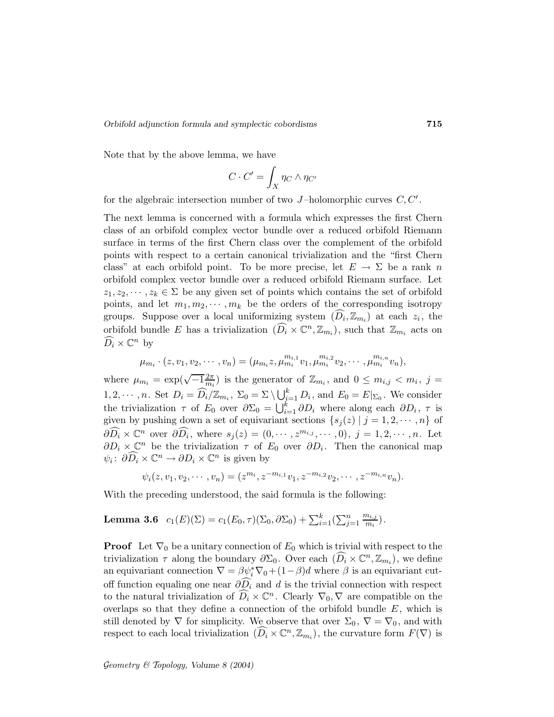Note that by the above lemma, we have

$$
C \cdot C' = \int_X \eta_C \wedge \eta_{C'}
$$

for the algebraic intersection number of two  $J$ -holomorphic curves  $C, C'$ .

The next lemma is concerned with a formula which expresses the first Chern class of an orbifold complex vector bundle over a reduced orbifold Riemann surface in terms of the first Chern class over the complement of the orbifold points with respect to a certain canonical trivialization and the "first Chern class" at each orbifold point. To be more precise, let  $E \to \Sigma$  be a rank n orbifold complex vector bundle over a reduced orbifold Riemann surface. Let  $z_1, z_2, \dots, z_k \in \Sigma$  be any given set of points which contains the set of orbifold points, and let  $m_1, m_2, \cdots, m_k$  be the orders of the corresponding isotropy groups. Suppose over a local uniformizing system  $(D_i, \mathbb{Z}_{m_i})$  at each  $z_i$ , the orbifold bundle E has a trivialization  $(\widehat{D_i} \times \mathbb{C}^n, \mathbb{Z}_{m_i})$ , such that  $\mathbb{Z}_{m_i}$  acts on  $\widehat{D_i} \times \mathbb{C}^n$  by

$$
\mu_{m_i} \cdot (z, v_1, v_2, \cdots, v_n) = (\mu_{m_i} z, \mu_{m_i}^{m_{i,1}} v_1, \mu_{m_i}^{m_{i,2}} v_2, \cdots, \mu_{m_i}^{m_{i,n}} v_n),
$$

where  $\mu_{m_i} = \exp(\sqrt{-1}\frac{2\pi}{m_i})$  $\frac{2\pi}{m_i}$ ) is the generator of  $\mathbb{Z}_{m_i}$ , and  $0 \leq m_{i,j} < m_i$ ,  $j =$  $1, 2, \dots, n$ . Set  $D_i = \widehat{D_i}/\mathbb{Z}_{m_i}$ ,  $\Sigma_0 = \Sigma \setminus \bigcup_{i=1}^k D_i$ , and  $E_0 = E|_{\Sigma_0}$ . We consider the trivialization  $\tau$  of  $E_0$  over  $\partial \Sigma_0 = \bigcup_{i=1}^k \partial D_i$  where along each  $\partial D_i$ ,  $\tau$  is given by pushing down a set of equivariant sections  $\{s_j(z) | j = 1, 2, \dots, n\}$  of  $\partial \widehat{D_i} \times \mathbb{C}^n$  over  $\partial \widehat{D_i}$ , where  $s_j(z) = (0, \cdots, z^{m_{i,j}}, \cdots, 0), j = 1, 2, \cdots, n$ . Let  $\partial D_i \times \mathbb{C}^n$  be the trivialization  $\tau$  of  $E_0$  over  $\partial D_i$ . Then the canonical map  $\psi_i: \partial \widehat{D_i} \times \mathbb{C}^n \to \partial D_i \times \mathbb{C}^n$  is given by

$$
\psi_i(z, v_1, v_2, \cdots, v_n) = (z^{m_i}, z^{-m_{i,1}}v_1, z^{-m_{i,2}}v_2, \cdots, z^{-m_{i,n}}v_n).
$$

With the preceding understood, the said formula is the following:

**Lemma 3.6** 
$$
c_1(E)(\Sigma) = c_1(E_0, \tau)(\Sigma_0, \partial \Sigma_0) + \sum_{i=1}^k (\sum_{j=1}^n \frac{m_{i,j}}{m_i}).
$$

**Proof** Let  $\nabla_0$  be a unitary connection of  $E_0$  which is trivial with respect to the trivialization  $\tau$  along the boundary  $\partial \Sigma_0$ . Over each  $(\widehat{D_i} \times \mathbb{C}^n, \mathbb{Z}_{m_i})$ , we define an equivariant connection  $\nabla = \beta \psi_i^* \nabla_0 + (1 - \beta)d$  where  $\beta$  is an equivariant cutoff function equaling one near  $\partial \widehat{D_i}$  and d is the trivial connection with respect to the natural trivialization of  $\widehat{D_i} \times \mathbb{C}^n$ . Clearly  $\nabla_0$ ,  $\nabla$  are compatible on the overlaps so that they define a connection of the orbifold bundle  $E$ , which is still denoted by  $\nabla$  for simplicity. We observe that over  $\Sigma_0$ ,  $\nabla = \nabla_0$ , and with respect to each local trivialization  $(\widehat{D_i} \times \mathbb{C}^n, \mathbb{Z}_{m_i})$ , the curvature form  $F(\nabla)$  is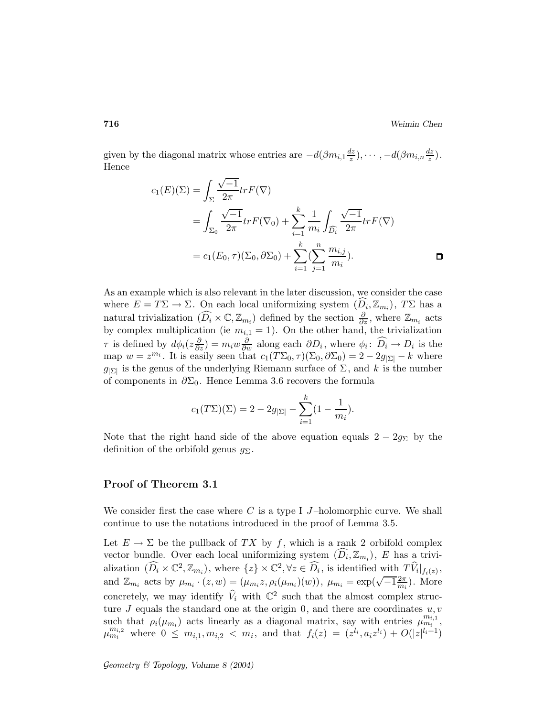given by the diagonal matrix whose entries are  $-d(\beta m_{i,1} \frac{dz}{z})$  $\frac{dz}{z}), \cdots, -d(\beta m_{i,n}\frac{dz}{z})$  $\frac{iz}{z}$ ). Hence

$$
c_1(E)(\Sigma) = \int_{\Sigma} \frac{\sqrt{-1}}{2\pi} tr F(\nabla)
$$
  
= 
$$
\int_{\Sigma_0} \frac{\sqrt{-1}}{2\pi} tr F(\nabla_0) + \sum_{i=1}^k \frac{1}{m_i} \int_{\widehat{D}_i} \frac{\sqrt{-1}}{2\pi} tr F(\nabla)
$$
  
= 
$$
c_1(E_0, \tau)(\Sigma_0, \partial\Sigma_0) + \sum_{i=1}^k (\sum_{j=1}^n \frac{m_{i,j}}{m_i}).
$$

As an example which is also relevant in the later discussion, we consider the case where  $E = T\Sigma \to \Sigma$ . On each local uniformizing system  $(D_i, \mathbb{Z}_{m_i})$ ,  $T\Sigma$  has a natural trivialization  $(\widehat{D_i} \times \mathbb{C}, \mathbb{Z}_{m_i})$  defined by the section  $\frac{\partial}{\partial z}$ , where  $\mathbb{Z}_{m_i}$  acts by complex multiplication (ie  $m_{i,1} = 1$ ). On the other hand, the trivialization  $\tau$  is defined by  $d\phi_i(z\frac{\partial}{\partial z}) = m_i w \frac{\partial}{\partial w}$  along each  $\partial D_i$ , where  $\phi_i: \widehat{D_i} \to D_i$  is the map  $w = z^{m_i}$ . It is easily seen that  $c_1(T\Sigma_0, \tau)(\Sigma_0, \partial \Sigma_0) = 2 - 2g_{|\Sigma|} - k$  where  $g_{\vert \Sigma \vert}$  is the genus of the underlying Riemann surface of  $\Sigma$ , and k is the number of components in  $\partial \Sigma_0$ . Hence Lemma 3.6 recovers the formula

$$
c_1(T\Sigma)(\Sigma) = 2 - 2g_{|\Sigma|} - \sum_{i=1}^{k} (1 - \frac{1}{m_i}).
$$

Note that the right hand side of the above equation equals  $2 - 2g_{\Sigma}$  by the definition of the orbifold genus  $g_{\Sigma}$ .

### Proof of Theorem 3.1

We consider first the case where C is a type I J-holomorphic curve. We shall continue to use the notations introduced in the proof of Lemma 3.5.

Let  $E \to \Sigma$  be the pullback of TX by f, which is a rank 2 orbifold complex vector bundle. Over each local uniformizing system  $(D_i, \mathbb{Z}_{m_i})$ , E has a trivialization  $(\widehat{D_i} \times \mathbb{C}^2, \mathbb{Z}_{m_i})$ , where  $\{z\} \times \mathbb{C}^2, \forall z \in \widehat{D_i}$ , is identified with  $T\widehat{V}_i|_{f_i(z)}$ , and  $\mathbb{Z}_{m_i}$  acts by  $\mu_{m_i} \cdot (z,w) = (\mu_{m_i} z, \rho_i(\mu_{m_i})(w)), \ \mu_{m_i} = \exp(\sqrt{-1} \frac{2\pi}{m_i})$  $\frac{2\pi}{m_i}$ ). More concretely, we may identify  $\hat{V}_i$  with  $\mathbb{C}^2$  such that the almost complex structure  $J$  equals the standard one at the origin 0, and there are coordinates  $u, v$ such that  $\rho_i(\mu_{m_i})$  acts linearly as a diagonal matrix, say with entries  $\mu_{m_i}^{m_{i,1}}$ ,  $\mu_{m_i}^{m_{i,2}}$  where  $0 \leq m_{i,1}, m_{i,2} < m_i$ , and that  $f_i(z) = (z^{l_i}, a_i z^{l_i}) + O(|z|^{l_i+1})$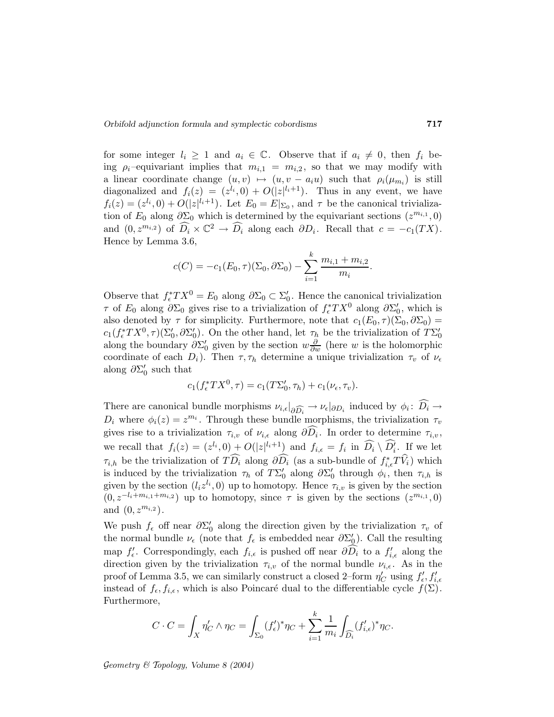for some integer  $l_i \geq 1$  and  $a_i \in \mathbb{C}$ . Observe that if  $a_i \neq 0$ , then  $f_i$  being  $\rho_i$ -equivariant implies that  $m_{i,1} = m_{i,2}$ , so that we may modify with a linear coordinate change  $(u, v) \mapsto (u, v - a_i u)$  such that  $\rho_i(\mu_{m_i})$  is still diagonalized and  $f_i(z) = (z^{l_i}, 0) + O(|z|^{l_i+1})$ . Thus in any event, we have  $f_i(z) = (z^{l_i}, 0) + O(|z|^{l_i+1})$ . Let  $E_0 = E|_{\Sigma_0}$ , and  $\tau$  be the canonical trivialization of  $E_0$  along  $\partial \Sigma_0$  which is determined by the equivariant sections  $(z^{m_{i,1}}, 0)$ and  $(0, z^{m_{i,2}})$  of  $\widehat{D_i} \times \mathbb{C}^2 \to \widehat{D_i}$  along each  $\partial D_i$ . Recall that  $c = -c_1(TX)$ . Hence by Lemma 3.6,

$$
c(C) = -c_1(E_0, \tau)(\Sigma_0, \partial \Sigma_0) - \sum_{i=1}^k \frac{m_{i,1} + m_{i,2}}{m_i}.
$$

Observe that  $f_{\epsilon}^*TX^0 = E_0$  along  $\partial \Sigma_0 \subset \Sigma'_0$ . Hence the canonical trivialization τ of  $E_0$  along  $\partial \Sigma_0$  gives rise to a trivialization of  $f_\epsilon^* TX^0$  along  $\partial \Sigma'_0$ , which is also denoted by  $\tau$  for simplicity. Furthermore, note that  $c_1(E_0,\tau)(\Sigma_0,\partial\Sigma_0)$  =  $c_1(f_\epsilon^*TX^0,\tau)(\Sigma_0',\partial\Sigma_0')$ . On the other hand, let  $\tau_h$  be the trivialization of  $T\Sigma_0'$ along the boundary  $\partial \Sigma_0'$  given by the section  $w \frac{\partial}{\partial w}$  (here w is the holomorphic coordinate of each  $D_i$ ). Then  $\tau$ ,  $\tau_h$  determine a unique trivialization  $\tau_v$  of  $\nu_\epsilon$ along  $\partial \Sigma_0'$  such that

$$
c_1(f_{\epsilon}^*TX^0, \tau) = c_1(T\Sigma'_0, \tau_h) + c_1(\nu_{\epsilon}, \tau_v).
$$

There are canonical bundle morphisms  $\nu_{i,\epsilon}|_{\partial \widehat{D_i}} \to \nu_{\epsilon}|_{\partial D_i}$  induced by  $\phi_i: D_i \to$  $D_i$  where  $\phi_i(z) = z^{m_i}$ . Through these bundle morphisms, the trivialization  $\tau_v$ gives rise to a trivialization  $\tau_{i,v}$  of  $\nu_{i,\epsilon}$  along  $\partial D_i$ . In order to determine  $\tau_{i,v}$ , we recall that  $f_i(z) = (z^{l_i}, 0) + O(|z|^{l_i+1})$  and  $f_{i,\epsilon} = f_i$  in  $\widehat{D_i} \setminus \widehat{D'_i}$ . If we let  $\tau_{i,h}$  be the trivialization of  $TD_i$  along  $\partial D_i$  (as a sub-bundle of  $f_{i,\epsilon}^*TV_i$ ) which is induced by the trivialization  $\tau_h$  of  $T\Sigma_0'$  along  $\partial \Sigma_0'$  through  $\phi_i$ , then  $\tau_{i,h}$  is given by the section  $(l_i z^{l_i}, 0)$  up to homotopy. Hence  $\tau_{i,v}$  is given by the section  $(0, z^{-l_i+m_{i,1}+m_{i,2}})$  up to homotopy, since  $\tau$  is given by the sections  $(z^{m_{i,1}}, 0)$ and  $(0, z^{m_{i,2}})$ .

We push  $f_{\epsilon}$  off near  $\partial \Sigma_0'$  along the direction given by the trivialization  $\tau_v$  of the normal bundle  $\nu_{\epsilon}$  (note that  $f_{\epsilon}$  is embedded near  $\partial \Sigma_{\mathcal{Q}}'$ ). Call the resulting map  $f'_{\epsilon}$ . Correspondingly, each  $f_{i,\epsilon}$  is pushed off near  $\partial D_i$  to a  $f'_{i,\epsilon}$  along the direction given by the trivialization  $\tau_{i,v}$  of the normal bundle  $\nu_{i,\epsilon}$ . As in the proof of Lemma 3.5, we can similarly construct a closed 2–form  $\eta_C'$  using  $f'_{\epsilon}, f'_{i,\epsilon}$ instead of  $f_{\epsilon}, f_{i,\epsilon}$ , which is also Poincaré dual to the differentiable cycle  $f(\Sigma)$ . Furthermore,

$$
C \cdot C = \int_X \eta'_C \wedge \eta_C = \int_{\Sigma_0} (f'_\epsilon)^* \eta_C + \sum_{i=1}^k \frac{1}{m_i} \int_{\widehat{D}_i} (f'_{i,\epsilon})^* \eta_C.
$$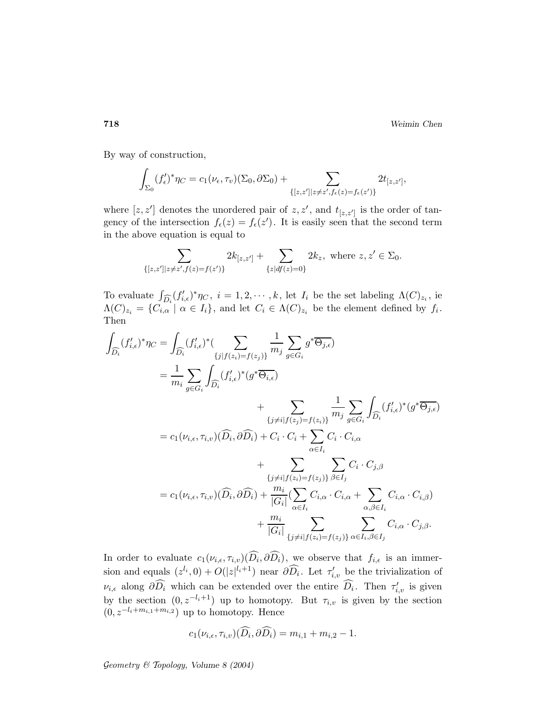718 Weimin Chen

By way of construction,

$$
\int_{\Sigma_0} (f_{\epsilon}')^* \eta_C = c_1(\nu_{\epsilon}, \tau_v)(\Sigma_0, \partial \Sigma_0) + \sum_{\{[z, z'] | z \neq z', f_{\epsilon}(z) = f_{\epsilon}(z')\}} 2t_{[z, z']},
$$

where  $[z, z']$  denotes the unordered pair of  $z, z'$ , and  $t_{[z, z']}$  is the order of tangency of the intersection  $f_{\epsilon}(z) = f_{\epsilon}(z')$ . It is easily seen that the second term in the above equation is equal to

$$
\sum_{\{[z,z']\mid z\neq z',f(z)=f(z')\}} 2k_{[z,z']} + \sum_{\{z\mid df(z)=0\}} 2k_z, \text{ where } z,z'\in \Sigma_0.
$$

To evaluate  $\int_{\widehat{D}_i}(f'_{i,\epsilon})^*\eta_C$ ,  $i=1,2,\cdots,k$ , let  $I_i$  be the set labeling  $\Lambda(C)_{z_i}$ , ie  $\Lambda(C)_{z_i} = \{C_{i,\alpha} \mid \alpha \in I_i\}$ , and let  $C_i \in \Lambda(C)_{z_i}$  be the element defined by  $f_i$ . Then

$$
\int_{\widehat{D}_{i}} (f'_{i,\epsilon})^{*} \eta_{C} = \int_{\widehat{D}_{i}} (f'_{i,\epsilon})^{*} \left( \sum_{\{j|f(z_{i})=f(z_{j})\}} \frac{1}{m_{j}} \sum_{g \in G_{i}} g^{*} \overline{\Theta_{j,\epsilon}} \right)
$$
\n
$$
= \frac{1}{m_{i}} \sum_{g \in G_{i}} \int_{\widehat{D}_{i}} (f'_{i,\epsilon})^{*} \left( g^{*} \overline{\Theta_{i,\epsilon}} \right)
$$
\n
$$
+ \sum_{\{j \neq i|f(z_{j})=f(z_{i})\}} \frac{1}{m_{j}} \sum_{g \in G_{i}} \int_{\widehat{D}_{i}} (f'_{i,\epsilon})^{*} \left( g^{*} \overline{\Theta_{j,\epsilon}} \right)
$$
\n
$$
= c_{1}(\nu_{i,\epsilon}, \tau_{i,\upsilon})(\widehat{D}_{i}, \partial \widehat{D}_{i}) + C_{i} \cdot C_{i} + \sum_{\alpha \in I_{i}} C_{i} \cdot C_{i,\alpha}
$$
\n
$$
+ \sum_{\{j \neq i|f(z_{i})=f(z_{j})\}} \sum_{\beta \in I_{j}} C_{i} \cdot C_{j,\beta}
$$
\n
$$
= c_{1}(\nu_{i,\epsilon}, \tau_{i,\upsilon})(\widehat{D}_{i}, \partial \widehat{D}_{i}) + \frac{m_{i}}{|G_{i}|} (\sum_{\alpha \in I_{i}} C_{i,\alpha} \cdot C_{i,\alpha} + \sum_{\alpha,\beta \in I_{i}} C_{i,\alpha} \cdot C_{i,\beta})
$$
\n
$$
+ \frac{m_{i}}{|G_{i}|} \sum_{\{j \neq i|f(z_{i})=f(z_{j})\}} \sum_{\alpha \in I_{i}, \beta \in I_{j}} C_{i,\alpha} \cdot C_{j,\beta}.
$$

In order to evaluate  $c_1(\nu_{i,\epsilon}, \tau_{i,v})(D_i, \partial D_i)$ , we observe that  $f_{i,\epsilon}$  is an immersion and equals  $(z^{l_i}, 0) + O(|z|^{l_i+1})$  near  $\partial \widehat{D_i}$ . Let  $\tau'_{i,v}$  be the trivialization of  $\nu_{i,\epsilon}$  along  $\partial D_i$  which can be extended over the entire  $D_i$ . Then  $\tau'_{i,v}$  is given by the section  $(0, z^{-l_i+1})$  up to homotopy. But  $\tau_{i,v}$  is given by the section  $(0, z^{-l_i+m_{i,1}+m_{i,2}})$  up to homotopy. Hence

$$
c_1(\nu_{i,\epsilon}, \tau_{i,v})(\widehat{D_i}, \partial \widehat{D_i}) = m_{i,1} + m_{i,2} - 1.
$$

Geometry  $\mathcal C$  Topology, Volume 8 (2004)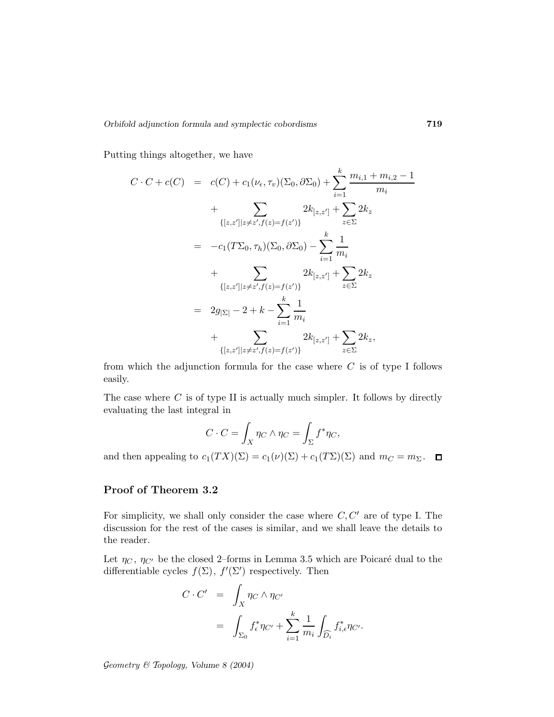Putting things altogether, we have

$$
C \cdot C + c(C) = c(C) + c_1(\nu_{\epsilon}, \tau_v)(\Sigma_0, \partial \Sigma_0) + \sum_{i=1}^k \frac{m_{i,1} + m_{i,2} - 1}{m_i}
$$
  
+ 
$$
\sum_{\{[z,z']|z \neq z', f(z) = f(z')\}} 2k_{[z,z']} + \sum_{z \in \Sigma} 2k_z
$$
  
= 
$$
-c_1(T\Sigma_0, \tau_h)(\Sigma_0, \partial \Sigma_0) - \sum_{i=1}^k \frac{1}{m_i}
$$
  
+ 
$$
\sum_{\{[z,z']|z \neq z', f(z) = f(z')\}} 2k_{[z,z']} + \sum_{z \in \Sigma} 2k_z
$$
  
= 
$$
2g_{|\Sigma|} - 2 + k - \sum_{i=1}^k \frac{1}{m_i}
$$
  
+ 
$$
\sum_{\{[z,z']|z \neq z', f(z) = f(z')\}} 2k_{[z,z']} + \sum_{z \in \Sigma} 2k_z,
$$

from which the adjunction formula for the case where  $C$  is of type I follows easily.

The case where  $C$  is of type II is actually much simpler. It follows by directly evaluating the last integral in

$$
C \cdot C = \int_X \eta_C \wedge \eta_C = \int_{\Sigma} f^* \eta_C,
$$

and then appealing to  $c_1(TX)(\Sigma) = c_1(\nu)(\Sigma) + c_1(T\Sigma)(\Sigma)$  and  $m_C = m_{\Sigma}$ .  $\Box$ 

### Proof of Theorem 3.2

For simplicity, we shall only consider the case where  $C, C'$  are of type I. The discussion for the rest of the cases is similar, and we shall leave the details to the reader.

Let  $\eta_C$ ,  $\eta_{C'}$  be the closed 2–forms in Lemma 3.5 which are Poicaré dual to the differentiable cycles  $f(\Sigma)$ ,  $f'(\Sigma')$  respectively. Then

$$
C \cdot C' = \int_X \eta_C \wedge \eta_{C'} = \int_{\Sigma_0} f_{\epsilon}^* \eta_{C'} + \sum_{i=1}^k \frac{1}{m_i} \int_{\widehat{D}_i} f_{i,\epsilon}^* \eta_{C'}.
$$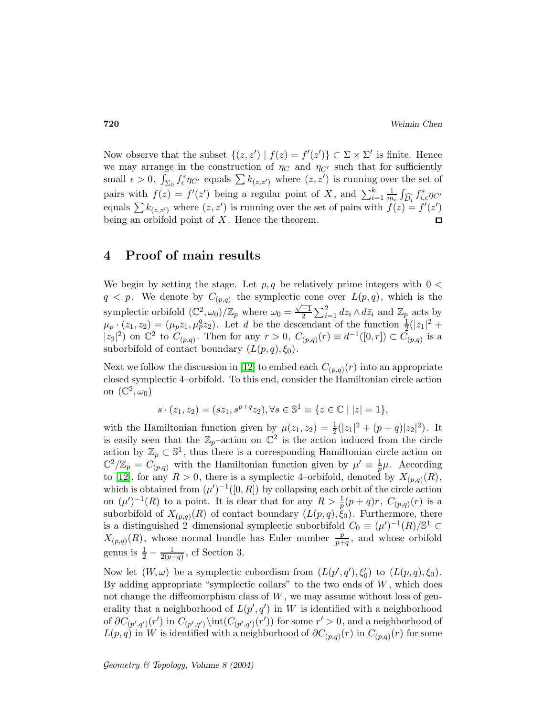Now observe that the subset  $\{(z, z') | f(z) = f'(z')\} \subset \Sigma \times \Sigma'$  is finite. Hence we may arrange in the construction of  $\eta_C$  and  $\eta_{C'}$  such that for sufficiently small  $\epsilon > 0$ ,  $\int_{\Sigma_0} f_{\epsilon}^* \eta_{C'}$  equals  $\sum k_{(z,z')}$  where  $(z,z')$  is running over the set of pairs with  $f(z) = f'(z')$  being a regular point of X, and  $\sum_{i=1}^{k} \frac{1}{m}$  $\frac{1}{m_i} \int_{\widehat{D}_i} f_{i,\epsilon}^* \eta_{C'}$ equals  $\sum k_{(z,z')}$  where  $(z,z')$  is running over the set of pairs with  $f(z) = f'(z')$ being an orbifold point of  $X$ . Hence the theorem. П

## 4 Proof of main results

We begin by setting the stage. Let  $p, q$  be relatively prime integers with  $0 <$  $q < p$ . We denote by  $C_{(p,q)}$  the symplectic cone over  $L(p,q)$ , which is the symplectic orbifold  $(\mathbb{C}^2, \omega_0)/\mathbb{Z}_p$  where  $\omega_0 = \frac{\sqrt{-1}}{2} \sum_{i=1}^2 dz_i \wedge d\bar{z}_i$  and  $\mathbb{Z}_p$  acts by  $\mu_p \cdot (z_1, z_2) = (\mu_p z_1, \mu_p^q z_2)$ . Let d be the descendant of the function  $\frac{1}{2}(|z_1|^2 +$  $|z_2|^2$  on  $\mathbb{C}^2$  to  $C_{(p,q)}$ . Then for any  $r > 0$ ,  $C_{(p,q)}(r) \equiv d^{-1}([0,r]) \subset C_{(p,q)}$  is a suborbifold of contact boundary  $(L(p,q), \xi_0)$ .

Next we follow the discussion in [\[12\]](#page-33-10) to embed each  $C_{(p,q)}(r)$  into an appropriate closed symplectic 4–orbifold. To this end, consider the Hamiltonian circle action on  $(\mathbb{C}^2, \omega_0)$ 

$$
s \cdot (z_1, z_2) = (sz_1, s^{p+q} z_2), \forall s \in \mathbb{S}^1 \equiv \{ z \in \mathbb{C} \mid |z| = 1 \},\
$$

with the Hamiltonian function given by  $\mu(z_1, z_2) = \frac{1}{2}(|z_1|^2 + (p+q)|z_2|^2)$ . It is easily seen that the  $\mathbb{Z}_p$ -action on  $\mathbb{C}^2$  is the action induced from the circle action by  $\mathbb{Z}_p \subset \mathbb{S}^1$ , thus there is a corresponding Hamiltonian circle action on  $\mathbb{C}^2/\mathbb{Z}_p = C_{(p,q)}$  with the Hamiltonian function given by  $\mu' \equiv \frac{1}{p}$  $\frac{1}{p}\mu$ . According to [\[12\]](#page-33-10), for any  $R > 0$ , there is a symplectic 4-orbifold, denoted by  $X_{(p,q)}(R)$ , which is obtained from  $(\mu')^{-1}([0,R])$  by collapsing each orbit of the circle action on  $(\mu')^{-1}(R)$  to a point. It is clear that for any  $R > \frac{1}{p}(p+q)r$ ,  $C_{(p,q)}(r)$  is a suborbifold of  $X_{(p,q)}(R)$  of contact boundary  $(L(p,q), \xi_0)$ . Furthermore, there is a distinguished 2–dimensional symplectic suborbifold  $C_0 \equiv (\mu')^{-1}(R)/\mathbb{S}^1 \subset$  $X_{(p,q)}(R)$ , whose normal bundle has Euler number  $\frac{p}{p+q}$ , and whose orbifold genus is  $\frac{1}{2} - \frac{1}{2(p+q)}$ , cf Section 3.

Now let  $(W, \omega)$  be a symplectic cobordism from  $(L(p', q'), \xi'_0)$  to  $(L(p, q), \xi_0)$ . By adding appropriate "symplectic collars" to the two ends of  $W$ , which does not change the diffeomorphism class of  $W$ , we may assume without loss of generality that a neighborhood of  $L(p', q')$  in W is identified with a neighborhood of  $\partial C_{(p',q')}(r')$  in  $C_{(p',q')}\setminus \text{int}(C_{(p',q')}(r'))$  for some  $r'>0$ , and a neighborhood of  $L(p,q)$  in W is identified with a neighborhood of  $\partial C_{(p,q)}(r)$  in  $C_{(p,q)}(r)$  for some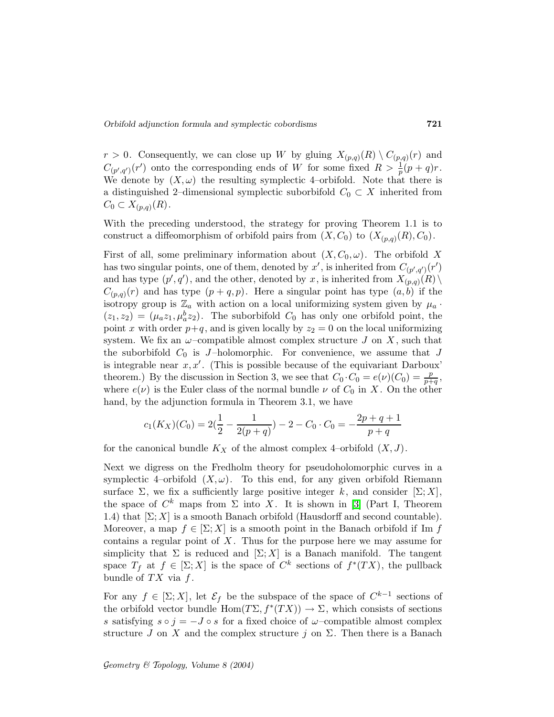Orbifold adjunction formula and symplectic cobordisms 721

 $r > 0$ . Consequently, we can close up W by gluing  $X_{(p,q)}(R) \setminus C_{(p,q)}(r)$  and  $C_{(p',q')}(r')$  onto the corresponding ends of W for some fixed  $R > \frac{1}{p}(p+q)r$ . We denote by  $(X, \omega)$  the resulting symplectic 4–orbifold. Note that there is a distinguished 2–dimensional symplectic suborbifold  $C_0 \subset X$  inherited from  $C_0 \subset X_{(p,q)}(R)$ .

With the preceding understood, the strategy for proving Theorem 1.1 is to construct a diffeomorphism of orbifold pairs from  $(X, C_0)$  to  $(X_{(p,q)}(R), C_0)$ .

First of all, some preliminary information about  $(X, C_0, \omega)$ . The orbifold X has two singular points, one of them, denoted by  $x'$ , is inherited from  $C_{(p',q')}(r')$ and has type  $(p', q')$ , and the other, denoted by x, is inherited from  $X_{(p,q)}(R) \setminus$  $C_{(p,q)}(r)$  and has type  $(p+q,p)$ . Here a singular point has type  $(a,b)$  if the isotropy group is  $\mathbb{Z}_a$  with action on a local uniformizing system given by  $\mu_a$ .  $(z_1, z_2) = (\mu_a z_1, \mu_a^b z_2)$ . The suborbifold  $C_0$  has only one orbifold point, the point x with order  $p+q$ , and is given locally by  $z_2 = 0$  on the local uniformizing system. We fix an  $\omega$ -compatible almost complex structure J on X, such that the suborbifold  $C_0$  is J-holomorphic. For convenience, we assume that J is integrable near  $x, x'$ . (This is possible because of the equivariant Darboux' theorem.) By the discussion in Section 3, we see that  $C_0 \cdot C_0 = e(\nu)(C_0) = \frac{p}{p+q}$ , where  $e(\nu)$  is the Euler class of the normal bundle  $\nu$  of  $C_0$  in X. On the other hand, by the adjunction formula in Theorem 3.1, we have

$$
c_1(K_X)(C_0) = 2(\frac{1}{2} - \frac{1}{2(p+q)}) - 2 - C_0 \cdot C_0 = -\frac{2p+q+1}{p+q}
$$

for the canonical bundle  $K_X$  of the almost complex 4–orbifold  $(X, J)$ .

Next we digress on the Fredholm theory for pseudoholomorphic curves in a symplectic 4–orbifold  $(X, \omega)$ . To this end, for any given orbifold Riemann surface  $\Sigma$ , we fix a sufficiently large positive integer k, and consider  $[\Sigma; X]$ , the space of  $C^k$  maps from  $\Sigma$  into X. It is shown in [\[3\]](#page-32-0) (Part I, Theorem 1.4) that  $[\Sigma; X]$  is a smooth Banach orbifold (Hausdorff and second countable). Moreover, a map  $f \in \Sigma$ ; X is a smooth point in the Banach orbifold if Im f contains a regular point of  $X$ . Thus for the purpose here we may assume for simplicity that  $\Sigma$  is reduced and  $[\Sigma; X]$  is a Banach manifold. The tangent space  $T_f$  at  $f \in [\Sigma; X]$  is the space of  $C^k$  sections of  $f^*(TX)$ , the pullback bundle of  $TX$  via  $f$ .

For any  $f \in [\Sigma; X]$ , let  $\mathcal{E}_f$  be the subspace of the space of  $C^{k-1}$  sections of the orbifold vector bundle  $\text{Hom}(T\Sigma, f^*(TX)) \to \Sigma$ , which consists of sections s satisfying  $s \circ j = -J \circ s$  for a fixed choice of  $\omega$ -compatible almost complex structure J on X and the complex structure j on  $\Sigma$ . Then there is a Banach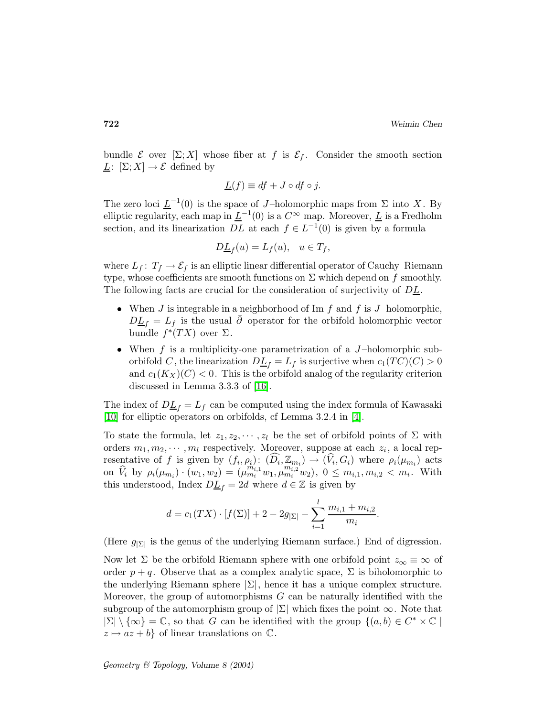bundle  $\mathcal E$  over  $[\Sigma; X]$  whose fiber at f is  $\mathcal E_f$ . Consider the smooth section  $L: [\Sigma; X] \to \mathcal{E}$  defined by

$$
\underline{L}(f) \equiv df + J \circ df \circ j.
$$

The zero loci  $\underline{L}^{-1}(0)$  is the space of J-holomorphic maps from  $\Sigma$  into X. By elliptic regularity, each map in  $\underline{L}^{-1}(0)$  is a  $C^{\infty}$  map. Moreover,  $\underline{L}$  is a Fredholm section, and its linearization  $D\underline{L}$  at each  $f \in \underline{L}^{-1}(0)$  is given by a formula

$$
D\underline{L}_f(u) = L_f(u), \quad u \in T_f,
$$

where  $L_f: T_f \to \mathcal{E}_f$  is an elliptic linear differential operator of Cauchy–Riemann type, whose coefficients are smooth functions on  $\Sigma$  which depend on f smoothly. The following facts are crucial for the consideration of surjectivity of  $DL$ .

- When  $J$  is integrable in a neighborhood of Im  $f$  and  $f$  is  $J$ -holomorphic,  $D\underline{L}_f = L_f$  is the usual  $\overline{\partial}$ –operator for the orbifold holomorphic vector bundle  $f^*(TX)$  over  $\Sigma$ .
- When f is a multiplicity-one parametrization of a  $J$ -holomorphic suborbifold C, the linearization  $D\underline{L}_f = L_f$  is surjective when  $c_1(TC)(C) > 0$ and  $c_1(K_X)(C) < 0$ . This is the orbifold analog of the regularity criterion discussed in Lemma 3.3.3 of [\[16\]](#page-33-1).

The index of  $D_{\text{L}_f} = L_f$  can be computed using the index formula of Kawasaki [\[10\]](#page-33-11) for elliptic operators on orbifolds, cf Lemma 3.2.4 in [\[4\]](#page-33-7).

To state the formula, let  $z_1, z_2, \dots, z_l$  be the set of orbifold points of  $\Sigma$  with orders  $m_1, m_2, \cdots, m_l$  respectively. Moreover, suppose at each  $z_i$ , a local representative of f is given by  $(f_i, \rho_i)$ :  $(D_i, \mathbb{Z}_{m_i}) \to (V_i, G_i)$  where  $\rho_i(\mu_{m_i})$  acts on  $\hat{V}_i$  by  $\rho_i(\mu_{m_i}) \cdot (w_1, w_2) = (\mu_{m_i}^{m_{i,1}} w_1, \mu_{m_i}^{m_{i,2}} w_2), 0 \leq m_{i,1}, m_{i,2} < m_i$ . With this understood, Index  $D\underline{L}_f=2d$  where  $d\in\mathbb{Z}$  is given by

$$
d = c_1(TX) \cdot [f(\Sigma)] + 2 - 2g_{|\Sigma|} - \sum_{i=1}^{l} \frac{m_{i,1} + m_{i,2}}{m_i}.
$$

(Here  $g_{\vert \Sigma \vert}$  is the genus of the underlying Riemann surface.) End of digression.

Now let  $\Sigma$  be the orbifold Riemann sphere with one orbifold point  $z_{\infty} \equiv \infty$  of order  $p + q$ . Observe that as a complex analytic space,  $\Sigma$  is biholomorphic to the underlying Riemann sphere  $|\Sigma|$ , hence it has a unique complex structure. Moreover, the group of automorphisms  $G$  can be naturally identified with the subgroup of the automorphism group of  $|\Sigma|$  which fixes the point  $\infty$ . Note that  $|\Sigma| \setminus {\infty} = \mathbb{C}$ , so that G can be identified with the group  $\{(a, b) \in C^* \times \mathbb{C} \mid$  $z \mapsto az + b$  of linear translations on  $\mathbb{C}$ .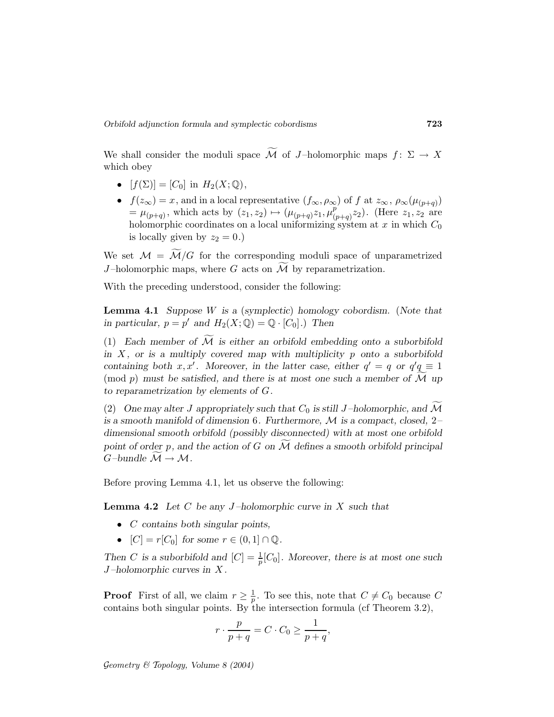We shall consider the moduli space  $\widetilde{\mathcal{M}}$  of J-holomorphic maps  $f: \Sigma \to X$ which obey

- $[f(\Sigma)] = [C_0]$  in  $H_2(X; \mathbb{Q}),$
- $f(z_{\infty}) = x$ , and in a local representative  $(f_{\infty}, \rho_{\infty})$  of f at  $z_{\infty}, \rho_{\infty}(\mu_{(p+q)})$  $=\mu_{(p+q)}$ , which acts by  $(z_1, z_2) \mapsto (\mu_{(p+q)}z_1, \mu_{(q+q)}^p)$  $_{(p+q)}^{p}z_2$ ). (Here  $z_1, z_2$  are holomorphic coordinates on a local uniformizing system at  $x$  in which  $C_0$ is locally given by  $z_2 = 0.$ )

We set  $\mathcal{M} = \widetilde{\mathcal{M}}/G$  for the corresponding moduli space of unparametrized J-holomorphic maps, where G acts on  $\widetilde{\mathcal{M}}$  by reparametrization.

With the preceding understood, consider the following:

**Lemma 4.1** Suppose  $W$  is a (symplectic) homology cobordism. (Note that in particular,  $p = p'$  and  $H_2(X; \mathbb{Q}) = \mathbb{Q} \cdot [C_0]$ .) Then

(1) Each member of  $\widetilde{\mathcal{M}}$  is either an orbifold embedding onto a suborbifold in  $X$ , or is a multiply covered map with multiplicity p onto a suborbifold containing both x, x'. Moreover, in the latter case, either  $q' = q$  or  $q'q \equiv 1$ (mod p) must be satisfied, and there is at most one such a member of  $\overline{\mathcal{M}}$  up to reparametrization by elements of G.

(2) One may alter J appropriately such that  $C_0$  is still J-holomorphic, and  $\widetilde{\mathcal{M}}$ is a smooth manifold of dimension 6. Furthermore,  $\mathcal M$  is a compact, closed, 2dimensional smooth orbifold (possibly disconnected) with at most one orbifold point of order p, and the action of G on  $\widetilde{\mathcal{M}}$  defines a smooth orbifold principal  $G$ -bundle  $\widetilde{\mathcal{M}} \to \mathcal{M}$ .

Before proving Lemma 4.1, let us observe the following:

**Lemma 4.2** Let C be any J-holomorphic curve in X such that

- $\bullet$  *C* contains both singular points,
- $[C] = r[C_0]$  for some  $r \in (0, 1] \cap \mathbb{Q}$ .

Then C is a suborbifold and  $[C] = \frac{1}{p}[C_0]$ . Moreover, there is at most one such  $J$ -holomorphic curves in  $X$ .

**Proof** First of all, we claim  $r \geq \frac{1}{p}$ . To see this, note that  $C \neq C_0$  because C contains both singular points. By the intersection formula (cf Theorem 3.2),

$$
r \cdot \frac{p}{p+q} = C \cdot C_0 \ge \frac{1}{p+q},
$$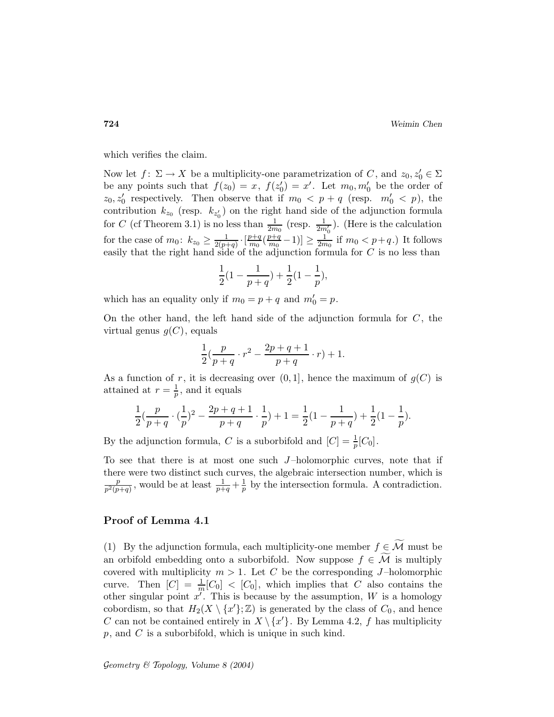which verifies the claim.

Now let  $f: \Sigma \to X$  be a multiplicity-one parametrization of C, and  $z_0, z'_0 \in \Sigma$ be any points such that  $f(z_0) = x$ ,  $f(z'_0) = x'$ . Let  $m_0, m'_0$  be the order of  $z_0, z'_0$  respectively. Then observe that if  $m_0 < p + q$  (resp.  $m'_0 < p$ ), the contribution  $k_{z_0}$  (resp.  $k_{z'_0}$ ) on the right hand side of the adjunction formula for C (cf Theorem 3.1) is no less than  $\frac{1}{2m_0}$  (resp.  $\frac{1}{2m'_0}$ ). (Here is the calculation for the case of  $m_0$ :  $k_{z_0} \geq \frac{1}{2(p+1)}$  $\frac{1}{2(p+q)} \cdot \left[\frac{p+q}{m_0}\right]$  $\frac{p+q}{m_0}(\frac{p+q}{m_0})$  $\frac{p+q}{m_0}-1$ )]  $\geq \frac{1}{2m}$  $\frac{1}{2m_0}$  if  $m_0 < p+q$ .) It follows easily that the right hand side of the adjunction formula for C is no less than

$$
\frac{1}{2}(1-\frac{1}{p+q})+\frac{1}{2}(1-\frac{1}{p}),
$$

which has an equality only if  $m_0 = p + q$  and  $m'_0 = p$ .

On the other hand, the left hand side of the adjunction formula for  $C$ , the virtual genus  $g(C)$ , equals

$$
\frac{1}{2}(\frac{p}{p+q}\cdot r^2 - \frac{2p+q+1}{p+q}\cdot r) + 1.
$$

As a function of r, it is decreasing over  $(0, 1]$ , hence the maximum of  $g(C)$  is attained at  $r=\frac{1}{n}$  $\frac{1}{p}$ , and it equals

$$
\frac{1}{2}(\frac{p}{p+q}\cdot (\frac{1}{p})^2-\frac{2p+q+1}{p+q}\cdot \frac{1}{p})+1=\frac{1}{2}(1-\frac{1}{p+q})+\frac{1}{2}(1-\frac{1}{p}).
$$

By the adjunction formula, C is a suborbifold and  $[C] = \frac{1}{p}[C_0]$ .

To see that there is at most one such  $J$ -holomorphic curves, note that if there were two distinct such curves, the algebraic intersection number, which is p  $\frac{p}{p^2(p+q)}$ , would be at least  $\frac{1}{p+q} + \frac{1}{p}$  $\frac{1}{p}$  by the intersection formula. A contradiction.

### Proof of Lemma 4.1

(1) By the adjunction formula, each multiplicity-one member  $f \in \widetilde{\mathcal{M}}$  must be an orbifold embedding onto a suborbifold. Now suppose  $f \in \widetilde{\mathcal{M}}$  is multiply covered with multiplicity  $m > 1$ . Let C be the corresponding J-holomorphic curve. Then  $[C] = \frac{1}{m}[C_0] < [C_0]$ , which implies that C also contains the other singular point  $x'$ . This is because by the assumption,  $W$  is a homology cobordism, so that  $H_2(X \setminus \{x'\}; \mathbb{Z})$  is generated by the class of  $C_0$ , and hence C can not be contained entirely in  $X \setminus \{x'\}$ . By Lemma 4.2, f has multiplicity  $p$ , and  $C$  is a suborbifold, which is unique in such kind.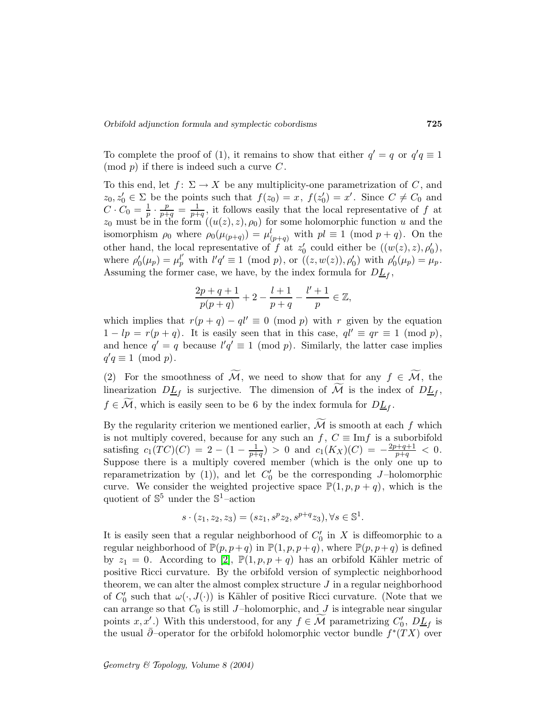To complete the proof of (1), it remains to show that either  $q' = q$  or  $q'q \equiv 1$  $\pmod{p}$  if there is indeed such a curve C.

To this end, let  $f: \Sigma \to X$  be any multiplicity-one parametrization of C, and  $z_0, z'_0 \in \Sigma$  be the points such that  $f(z_0) = x, f(z'_0) = x'$ . Since  $C \neq C_0$  and  $C\cdot C_0=\frac{1}{p}$  $\frac{1}{p} \cdot \frac{p}{p+q} = \frac{1}{p+q}$  $\frac{1}{p+q}$ , it follows easily that the local representative of f at  $z_0$  must be in the form  $((u(z),z),\rho_0)$  for some holomorphic function u and the isomorphism  $\rho_0$  where  $\rho_0(\mu_{(p+q)}) = \mu_{(p+q)}^l$  with  $pl \equiv 1 \pmod{p+q}$ . On the other hand, the local representative of f at  $z'_0$  could either be  $((w(z), z), \rho'_0)$ , where  $\rho'_0(\mu_p) = \mu_p^{l'}$  with  $l'q' \equiv 1 \pmod{p}$ , or  $((z,w(z)), \rho'_0)$  with  $\rho'_0(\mu_p) = \mu_p$ . Assuming the former case, we have, by the index formula for  $D\underline{L}_f$ ,

$$
\frac{2p+q+1}{p(p+q)} + 2 - \frac{l+1}{p+q} - \frac{l'+1}{p} \in \mathbb{Z},
$$

which implies that  $r(p + q) - q l' \equiv 0 \pmod{p}$  with r given by the equation  $1 - lp = r(p + q)$ . It is easily seen that in this case,  $ql' \equiv qr \equiv 1 \pmod{p}$ , and hence  $q' = q$  because  $l'q' \equiv 1 \pmod{p}$ . Similarly, the latter case implies  $q'q \equiv 1 \pmod{p}.$ 

(2) For the smoothness of  $\widetilde{\mathcal{M}}$ , we need to show that for any  $f \in \widetilde{\mathcal{M}}$ , the linearization  $D\underline{L}_f$  is surjective. The dimension of M is the index of  $D\underline{L}_f$ ,  $f \in \mathcal{M}$ , which is easily seen to be 6 by the index formula for  $D\underline{L}_f$ .

By the regularity criterion we mentioned earlier,  $\widetilde{\mathcal{M}}$  is smooth at each f which is not multiply covered, because for any such an  $f, C \equiv \text{Im} f$  is a suborbifold satisfing  $c_1(TC)(C) = 2 - (1 - \frac{1}{p+q}) > 0$  and  $c_1(K_X)(C) = -\frac{2p+q+1}{p+q} < 0$ . Suppose there is a multiply covered member (which is the only one up to reparametrization by (1)), and let  $C'_0$  be the corresponding J-holomorphic curve. We consider the weighted projective space  $\mathbb{P}(1,p,p+q)$ , which is the quotient of  $\mathbb{S}^5$  under the  $\mathbb{S}^1$ -action

$$
s \cdot (z_1, z_2, z_3) = (sz_1, s^p z_2, s^{p+q} z_3), \forall s \in \mathbb{S}^1.
$$

It is easily seen that a regular neighborhood of  $C'_0$  in X is diffeomorphic to a regular neighborhood of  $\mathbb{P}(p,p+q)$  in  $\mathbb{P}(1,p,p+q)$ , where  $\mathbb{P}(p,p+q)$  is defined by  $z_1 = 0$ . According to [\[2\]](#page-32-1),  $\mathbb{P}(1, p, p + q)$  has an orbifold Kähler metric of positive Ricci curvature. By the orbifold version of symplectic neighborhood theorem, we can alter the almost complex structure  $J$  in a regular neighborhood of  $C'_0$  such that  $\omega(\cdot, J(\cdot))$  is Kähler of positive Ricci curvature. (Note that we can arrange so that  $C_0$  is still J-holomorphic, and J is integrable near singular points  $x, x'$ .) With this understood, for any  $f \in \mathcal{M}$  parametrizing  $C'_{0}$ ,  $D\underline{L}_{f}$  is the usual  $\bar{\partial}$ –operator for the orbifold holomorphic vector bundle  $f^*(TX)$  over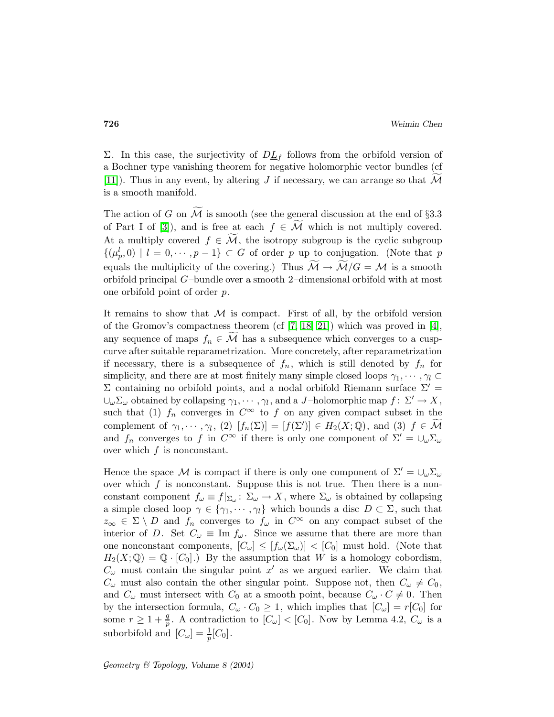Σ. In this case, the surjectivity of  $D_1$  follows from the orbifold version of a Bochner type vanishing theorem for negative holomorphic vector bundles (cf [\[11\]](#page-33-12)). Thus in any event, by altering J if necessary, we can arrange so that  $\mathcal M$ is a smooth manifold.

The action of G on  $\widetilde{\mathcal{M}}$  is smooth (see the general discussion at the end of §3.3 of Part I of [\[3\]](#page-32-0)), and is free at each  $f \in \widetilde{\mathcal{M}}$  which is not multiply covered. At a multiply covered  $f \in \widetilde{\mathcal{M}}$ , the isotropy subgroup is the cyclic subgroup  $\{(\mu_p^l, 0) \mid l = 0, \dots, p-1\} \subset G$  of order p up to conjugation. (Note that p equals the multiplicity of the covering.) Thus  $\widetilde{\mathcal{M}} \to \widetilde{\mathcal{M}}/G = \mathcal{M}$  is a smooth orbifold principal G–bundle over a smooth 2–dimensional orbifold with at most one orbifold point of order p.

It remains to show that  $M$  is compact. First of all, by the orbifold version of the Gromov's compactness theorem (cf [\[7,](#page-33-3) [18,](#page-33-13) [21\]](#page-33-14)) which was proved in [\[4\]](#page-33-7), any sequence of maps  $f_n \in \widetilde{\mathcal{M}}$  has a subsequence which converges to a cuspcurve after suitable reparametrization. More concretely, after reparametrization if necessary, there is a subsequence of  $f_n$ , which is still denoted by  $f_n$  for simplicity, and there are at most finitely many simple closed loops  $\gamma_1, \cdots, \gamma_l \subset$ Σ containing no orbifold points, and a nodal orbifold Riemann surface  $\Sigma'$  =  $\cup_{\omega} \Sigma_{\omega}$  obtained by collapsing  $\gamma_1, \cdots, \gamma_l$ , and a *J*-holomorphic map  $f: \Sigma' \to X$ , such that (1)  $f_n$  converges in  $C^{\infty}$  to f on any given compact subset in the complement of  $\gamma_1, \dots, \gamma_l$ , (2)  $[f_n(\Sigma)] = [f(\Sigma')] \in H_2(X; \mathbb{Q})$ , and (3)  $f \in \mathcal{M}$ and  $f_n$  converges to f in  $C^{\infty}$  if there is only one component of  $\Sigma' = \bigcup_{\omega} \Sigma_{\omega}$ over which  $f$  is nonconstant.

Hence the space M is compact if there is only one component of  $\Sigma' = \bigcup_{\omega} \Sigma_{\omega}$ over which  $f$  is nonconstant. Suppose this is not true. Then there is a nonconstant component  $f_{\omega} \equiv f|_{\Sigma_{\omega}} \colon \Sigma_{\omega} \to X$ , where  $\Sigma_{\omega}$  is obtained by collapsing a simple closed loop  $\gamma \in \{\gamma_1, \dots, \gamma_l\}$  which bounds a disc  $D \subset \Sigma$ , such that  $z_{\infty} \in \Sigma \setminus D$  and  $f_n$  converges to  $f_{\omega}$  in  $C^{\infty}$  on any compact subset of the interior of D. Set  $C_{\omega} \equiv \text{Im } f_{\omega}$ . Since we assume that there are more than one nonconstant components,  $[C_{\omega}] \leq [f_{\omega}(\Sigma_{\omega})] < [C_0]$  must hold. (Note that  $H_2(X; \mathbb{Q}) = \mathbb{Q} \cdot [C_0].$  By the assumption that W is a homology cobordism,  $C_{\omega}$  must contain the singular point  $x'$  as we argued earlier. We claim that  $C_{\omega}$  must also contain the other singular point. Suppose not, then  $C_{\omega} \neq C_0$ , and  $C_{\omega}$  must intersect with  $C_0$  at a smooth point, because  $C_{\omega} \cdot C \neq 0$ . Then by the intersection formula,  $C_{\omega} \cdot C_0 \geq 1$ , which implies that  $[C_{\omega}] = r[C_0]$  for some  $r \geq 1 + \frac{q}{p}$ . A contradiction to  $[C_{\omega}] < [C_0]$ . Now by Lemma 4.2,  $C_{\omega}$  is a suborbifold and  $[C_{\omega}] = \frac{1}{p}[C_0]$ .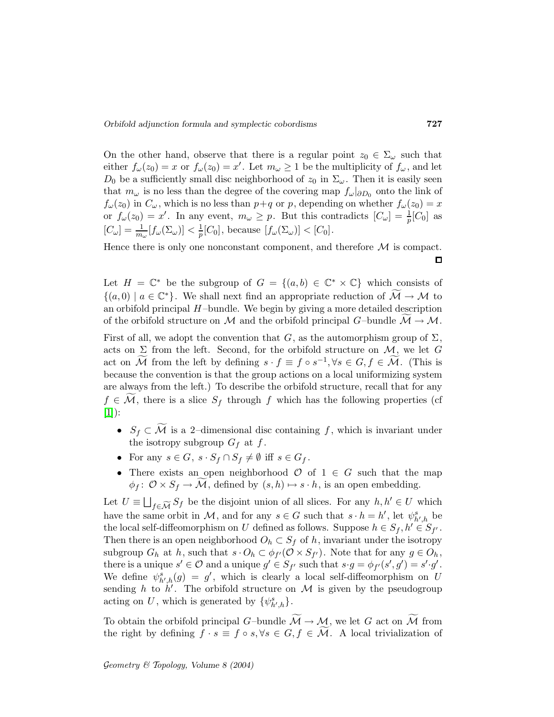On the other hand, observe that there is a regular point  $z_0 \in \Sigma_{\omega}$  such that either  $f_{\omega}(z_0) = x$  or  $f_{\omega}(z_0) = x'$ . Let  $m_{\omega} \ge 1$  be the multiplicity of  $f_{\omega}$ , and let  $D_0$  be a sufficiently small disc neighborhood of  $z_0$  in  $\Sigma_{\omega}$ . Then it is easily seen that  $m_\omega$  is no less than the degree of the covering map  $f_\omega|_{\partial D_0}$  onto the link of  $f_{\omega}(z_0)$  in  $C_{\omega}$ , which is no less than  $p+q$  or p, depending on whether  $f_{\omega}(z_0) = x$ or  $f_{\omega}(z_0) = x'$ . In any event,  $m_{\omega} \ge p$ . But this contradicts  $[C_{\omega}] = \frac{1}{p}[C_0]$  as  $[C_{\omega}] = \frac{1}{m_{\omega}} [f_{\omega}(\Sigma_{\omega})] < \frac{1}{p}$  $\frac{1}{p}[C_0]$ , because  $[f_\omega(\Sigma_\omega)] < [C_0]$ .

Hence there is only one nonconstant component, and therefore  $\mathcal M$  is compact.  $\Box$ 

Let  $H = \mathbb{C}^*$  be the subgroup of  $G = \{(a, b) \in \mathbb{C}^* \times \mathbb{C}\}\$  which consists of  $\{(a,0) \mid a \in \mathbb{C}^*\}$ . We shall next find an appropriate reduction of  $\mathcal{M} \to \mathcal{M}$  to an orbifold principal  $H$ -bundle. We begin by giving a more detailed description of the orbifold structure on M and the orbifold principal  $G$ -bundle  $\mathcal{M} \to \mathcal{M}$ .

First of all, we adopt the convention that G, as the automorphism group of  $\Sigma$ , acts on  $\Sigma$  from the left. Second, for the orbifold structure on  $\mathcal{M}$ , we let G act on  $\widetilde{M}$  from the left by defining  $s \cdot f \equiv f \circ s^{-1}, \forall s \in G, f \in \widetilde{M}$ . (This is because the convention is that the group actions on a local uniformizing system are always from the left.) To describe the orbifold structure, recall that for any  $f \in \mathcal{M}$ , there is a slice  $S_f$  through f which has the following properties (cf  $[1]$ :

- $S_f \subset \widetilde{\mathcal{M}}$  is a 2-dimensional disc containing f, which is invariant under the isotropy subgroup  $G_f$  at f.
- For any  $s \in G$ ,  $s \cdot S_f \cap S_f \neq \emptyset$  iff  $s \in G_f$ .
- There exists an open neighborhood  $\mathcal{O}$  of  $1 \in G$  such that the map  $\phi_f$ :  $\mathcal{O} \times S_f \to \mathcal{M}$ , defined by  $(s, h) \mapsto s \cdot h$ , is an open embedding.

Let  $U \equiv \bigsqcup_{f \in \widetilde{\mathcal{M}}} S_f$  be the disjoint union of all slices. For any  $h, h' \in U$  which have the same orbit in M, and for any  $s \in G$  such that  $s \cdot h = h'$ , let  $\psi^s_{h',h}$  be the local self-diffeomorphism on U defined as follows. Suppose  $h \in S_f, h' \in S_{f'}$ . Then there is an open neighborhood  $O_h \subset S_f$  of h, invariant under the isotropy subgroup  $G_h$  at h, such that  $s \cdot O_h \subset \phi_{f'}(\mathcal{O} \times S_{f'})$ . Note that for any  $g \in O_h$ , there is a unique  $s' \in \mathcal{O}$  and a unique  $g' \in S_{f'}$  such that  $s \cdot g = \phi_{f'}(s', g') = s' \cdot g'$ . We define  $\psi_{h',h}^s(g) = g'$ , which is clearly a local self-diffeomorphism on U sending h to h'. The orbifold structure on  $\mathcal M$  is given by the pseudogroup acting on U, which is generated by  $\{\psi^s_{h',h}\}.$ 

To obtain the orbifold principal G–bundle  $\widetilde{\mathcal{M}} \to \mathcal{M}$ , we let G act on  $\widetilde{\mathcal{M}}$  from the right by defining  $f \cdot s \equiv f \circ s, \forall s \in G, f \in \mathcal{M}$ . A local trivialization of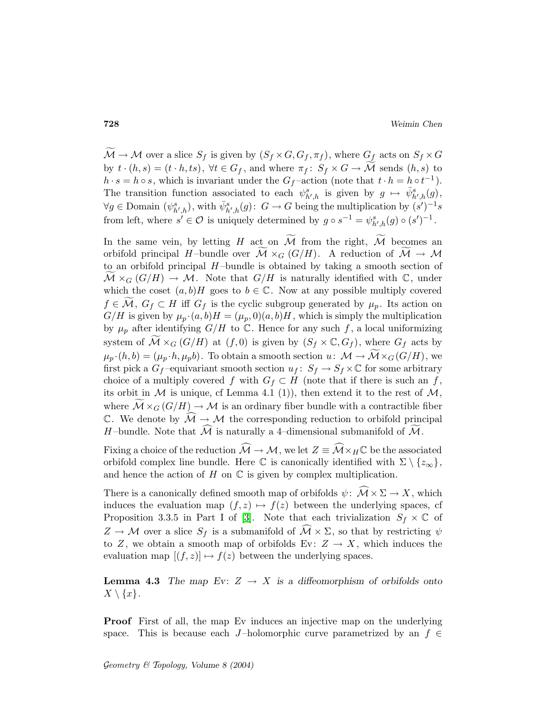$\mathcal{M} \to \mathcal{M}$  over a slice  $S_f$  is given by  $(S_f \times G, G_f, \pi_f)$ , where  $G_f$  acts on  $S_f \times G$ by  $t \cdot (h,s) = (t \cdot h, ts)$ ,  $\forall t \in G_f$ , and where  $\pi_f: S_f \times G \to M$  sends  $(h,s)$  to  $h \cdot s = h \circ s$ , which is invariant under the  $G_f$ -action (note that  $t \cdot h = h \circ t^{-1}$ ). The transition function associated to each  $\psi_{h',h}^s$  is given by  $g \mapsto \bar{\psi}_{h',h}^s(g)$ ,  $\forall g \in \text{Domain} \ (\psi^s_{h',h}), \text{with } \bar{\psi}^s_{h',h}(g) \colon G \to G \text{ being the multiplication by } (s')^{-1}s$ from left, where  $s' \in \mathcal{O}$  is uniquely determined by  $g \circ s^{-1} = \psi_{h',h}^s(g) \circ (s')^{-1}$ .

In the same vein, by letting H act on  $\widetilde{\mathcal{M}}$  from the right,  $\widetilde{\mathcal{M}}$  becomes an orbifold principal H-bundle over  $\mathcal{M} \times_G (G/H)$ . A reduction of  $\widetilde{\mathcal{M}} \to \mathcal{M}$ to an orbifold principal  $H$ -bundle is obtained by taking a smooth section of  $\mathcal{M} \times_G (G/H) \to \mathcal{M}$ . Note that  $G/H$  is naturally identified with  $\mathbb{C}$ , under which the coset  $(a,b)H$  goes to  $b \in \mathbb{C}$ . Now at any possible multiply covered  $f \in \mathcal{M}, G_f \subset H$  iff  $G_f$  is the cyclic subgroup generated by  $\mu_p$ . Its action on  $G/H$  is given by  $\mu_p \cdot (a,b)H = (\mu_p, 0)(a,b)H$ , which is simply the multiplication by  $\mu_p$  after identifying  $G/H$  to  $\mathbb C$ . Hence for any such f, a local uniformizing system of  $\mathcal{M} \times_G (G/H)$  at  $(f, 0)$  is given by  $(S_f \times \mathbb{C}, G_f)$ , where  $G_f$  acts by  $\mu_p \cdot (h,b) = (\mu_p \cdot h, \mu_p b)$ . To obtain a smooth section  $u: \mathcal{M} \to \mathcal{M} \times_G (G/H)$ , we first pick a  $G_f$ -equivariant smooth section  $u_f: S_f \to S_f \times \mathbb{C}$  for some arbitrary choice of a multiply covered f with  $G_f \subset H$  (note that if there is such an f, its orbit in  $M$  is unique, cf Lemma 4.1 (1)), then extend it to the rest of  $M$ , where  $\mathcal{M} \times_G (G/H) \to \mathcal{M}$  is an ordinary fiber bundle with a contractible fiber C. We denote by  $\widehat{\mathcal{M}} \to \mathcal{M}$  the corresponding reduction to orbifold principal H-bundle. Note that  $\widehat{\mathcal{M}}$  is naturally a 4-dimensional submanifold of  $\widetilde{\mathcal{M}}$ .

Fixing a choice of the reduction  $\widehat{\mathcal{M}} \to \mathcal{M}$ , we let  $Z \equiv \widehat{\mathcal{M}} \times_H \mathbb{C}$  be the associated orbifold complex line bundle. Here  $\mathbb C$  is canonically identified with  $\Sigma \setminus \{z_{\infty}\},$ and hence the action of  $H$  on  $\mathbb C$  is given by complex multiplication.

There is a canonically defined smooth map of orbifolds  $\psi: \overline{\mathcal{M}} \times \Sigma \to X$ , which induces the evaluation map  $(f, z) \mapsto f(z)$  between the underlying spaces, cf Proposition 3.3.5 in Part I of [\[3\]](#page-32-0). Note that each trivialization  $S_f \times \mathbb{C}$  of  $Z \to M$  over a slice  $S_f$  is a submanifold of  $\mathcal{M} \times \Sigma$ , so that by restricting  $\psi$ to Z, we obtain a smooth map of orbifolds Ev:  $Z \rightarrow X$ , which induces the evaluation map  $[(f,z)] \mapsto f(z)$  between the underlying spaces.

**Lemma 4.3** The map Ev:  $Z \rightarrow X$  is a diffeomorphism of orbifolds onto  $X \setminus \{x\}.$ 

Proof First of all, the map Ev induces an injective map on the underlying space. This is because each J-holomorphic curve parametrized by an  $f \in$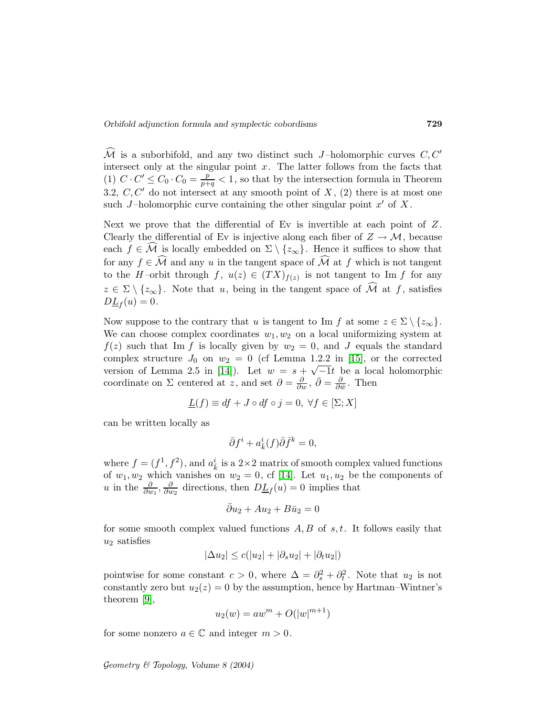$\mathcal{\tilde{M}}$  is a suborbifold, and any two distinct such J-holomorphic curves  $C, C'$ intersect only at the singular point  $x$ . The latter follows from the facts that (1)  $C \cdot C' \leq C_0 \cdot C_0 = \frac{p}{p+q} < 1$ , so that by the intersection formula in Theorem 3.2,  $C, C'$  do not intersect at any smooth point of  $X$ , (2) there is at most one such J-holomorphic curve containing the other singular point  $x'$  of X.

Next we prove that the differential of Ev is invertible at each point of  $Z$ . Clearly the differential of Ev is injective along each fiber of  $Z \to M$ , because each  $f \in \mathcal{M}$  is locally embedded on  $\Sigma \setminus \{z_{\infty}\}\.$  Hence it suffices to show that for any  $f \in \widehat{\mathcal{M}}$  and any u in the tangent space of  $\widehat{\mathcal{M}}$  at f which is not tangent to the H-orbit through  $f, u(z) \in (TX)_{f(z)}$  is not tangent to Im f for any  $z \in \Sigma \setminus \{z_{\infty}\}.$  Note that u, being in the tangent space of  $\widehat{\mathcal{M}}$  at f, satisfies  $D\underline{L}_f(u)=0.$ 

Now suppose to the contrary that u is tangent to Im f at some  $z \in \Sigma \setminus \{z_{\infty}\}.$ We can choose complex coordinates  $w_1, w_2$  on a local uniformizing system at  $f(z)$  such that Im f is locally given by  $w_2 = 0$ , and J equals the standard complex structure  $J_0$  on  $w_2 = 0$  (cf Lemma 1.2.2 in [\[15\]](#page-33-5), or the corrected version of Lemma 2.5 in [\[14\]](#page-33-4)). Let  $w = s + \sqrt{-1}t$  be a local holomorphic coordinate on  $\Sigma$  centered at z, and set  $\partial = \frac{\partial}{\partial w}$ ,  $\bar{\partial} = \frac{\partial}{\partial w}$  $\frac{\partial}{\partial \bar{w}}$ . Then

$$
\underline{L}(f) \equiv df + J \circ df \circ j = 0, \ \forall f \in [\Sigma; X]
$$

can be written locally as

$$
\bar{\partial}f^i + a^i_{\bar{k}}(f)\bar{\partial}\bar{f}^k = 0,
$$

where  $f = (f^1, f^2)$ , and  $a_k^i$  is a 2×2 matrix of smooth complex valued functions of  $w_1, w_2$  which vanishes on  $w_2 = 0$ , cf [\[14\]](#page-33-4). Let  $u_1, u_2$  be the components of u in the  $\frac{\partial}{\partial w_1}, \frac{\partial}{\partial u}$  $\frac{\partial}{\partial w_2}$  directions, then  $D\underline{L}_f(u) = 0$  implies that

$$
\bar{\partial}u_2 + Au_2 + B\bar{u}_2 = 0
$$

for some smooth complex valued functions  $A, B$  of  $s, t$ . It follows easily that  $u_2$  satisfies

$$
|\Delta u_2| \le c(|u_2| + |\partial_s u_2| + |\partial_t u_2|)
$$

pointwise for some constant  $c > 0$ , where  $\Delta = \partial_s^2 + \partial_t^2$ . Note that  $u_2$  is not constantly zero but  $u_2(z) = 0$  by the assumption, hence by Hartman–Wintner's theorem [\[9\]](#page-33-15),

$$
u_2(w) = aw^m + O(|w|^{m+1})
$$

for some nonzero  $a \in \mathbb{C}$  and integer  $m > 0$ .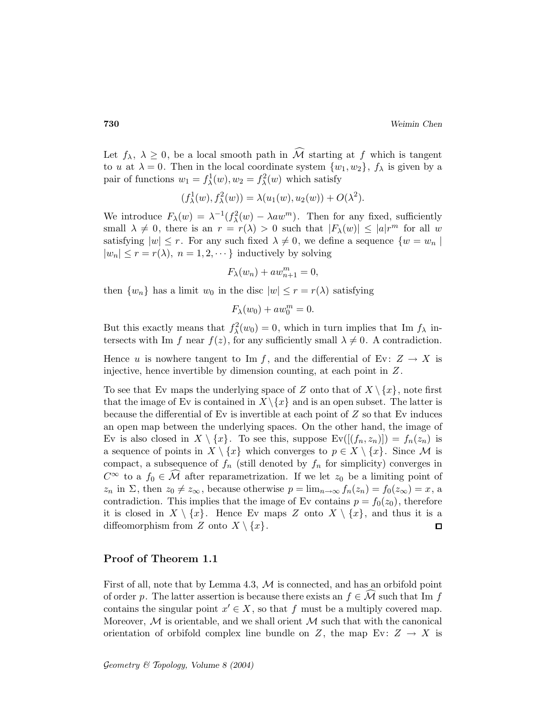Let  $f_{\lambda}$ ,  $\lambda \geq 0$ , be a local smooth path in  $\widehat{\mathcal{M}}$  starting at f which is tangent to u at  $\lambda = 0$ . Then in the local coordinate system  $\{w_1, w_2\}$ ,  $f_\lambda$  is given by a pair of functions  $w_1 = f^1_\lambda(w), w_2 = f^2_\lambda(w)$  which satisfy

$$
(f_{\lambda}^{1}(w), f_{\lambda}^{2}(w)) = \lambda(u_{1}(w), u_{2}(w)) + O(\lambda^{2}).
$$

We introduce  $F_{\lambda}(w) = \lambda^{-1}(f_{\lambda}^2(w) - \lambda aw^m)$ . Then for any fixed, sufficiently small  $\lambda \neq 0$ , there is an  $r = r(\lambda) > 0$  such that  $|F_{\lambda}(w)| \leq |a|r^m$  for all w satisfying  $|w| \leq r$ . For any such fixed  $\lambda \neq 0$ , we define a sequence  $\{w = w_n\}$  $|w_n| \le r = r(\lambda)$ ,  $n = 1, 2, \dots$ } inductively by solving

$$
F_{\lambda}(w_n) + aw_{n+1}^m = 0,
$$

then  $\{w_n\}$  has a limit  $w_0$  in the disc  $|w| \leq r = r(\lambda)$  satisfying

$$
F_{\lambda}(w_0) + aw_0^m = 0.
$$

But this exactly means that  $f_{\lambda}^2(w_0) = 0$ , which in turn implies that Im  $f_{\lambda}$  intersects with Im f near  $f(z)$ , for any sufficiently small  $\lambda \neq 0$ . A contradiction.

Hence u is nowhere tangent to Im f, and the differential of Ev:  $Z \rightarrow X$  is injective, hence invertible by dimension counting, at each point in Z.

To see that Ev maps the underlying space of Z onto that of  $X \setminus \{x\}$ , note first that the image of Ev is contained in  $X \setminus \{x\}$  and is an open subset. The latter is because the differential of  $E_v$  is invertible at each point of  $Z$  so that  $E_v$  induces an open map between the underlying spaces. On the other hand, the image of Ev is also closed in  $X \setminus \{x\}$ . To see this, suppose  $Ev([(f_n,z_n)]) = f_n(z_n)$  is a sequence of points in  $X \setminus \{x\}$  which converges to  $p \in X \setminus \{x\}$ . Since M is compact, a subsequence of  $f_n$  (still denoted by  $f_n$  for simplicity) converges in  $C^{\infty}$  to a  $f_0 \in \mathcal{M}$  after reparametrization. If we let  $z_0$  be a limiting point of  $z_n$  in  $\Sigma$ , then  $z_0 \neq z_\infty$ , because otherwise  $p = \lim_{n \to \infty} f_n(z_n) = f_0(z_\infty) = x$ , a contradiction. This implies that the image of Ev contains  $p = f_0(z_0)$ , therefore it is closed in  $X \setminus \{x\}$ . Hence Ev maps Z onto  $X \setminus \{x\}$ , and thus it is a diffeomorphism from Z onto  $X \setminus \{x\}.$ □

#### Proof of Theorem 1.1

First of all, note that by Lemma 4.3,  $\mathcal M$  is connected, and has an orbifold point of order p. The latter assertion is because there exists an  $f \in \mathcal{M}$  such that Im f contains the singular point  $x' \in X$ , so that f must be a multiply covered map. Moreover,  $M$  is orientable, and we shall orient  $M$  such that with the canonical orientation of orbifold complex line bundle on Z, the map Ev:  $Z \rightarrow X$  is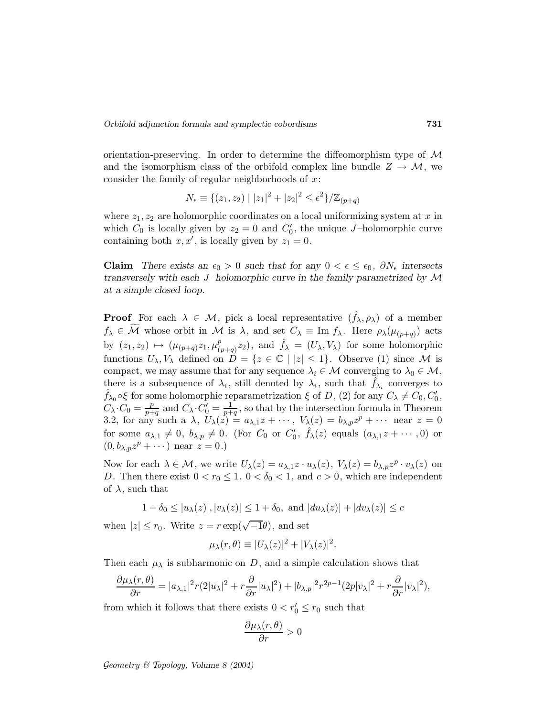orientation-preserving. In order to determine the diffeomorphism type of  $\mathcal M$ and the isomorphism class of the orbifold complex line bundle  $Z \to M$ , we consider the family of regular neighborhoods of  $x$ :

$$
N_{\epsilon} \equiv \{(z_1, z_2) \mid |z_1|^2 + |z_2|^2 \le \epsilon^2\} / \mathbb{Z}_{(p+q)}
$$

where  $z_1, z_2$  are holomorphic coordinates on a local uniformizing system at x in which  $C_0$  is locally given by  $z_2 = 0$  and  $C'_0$ , the unique J-holomorphic curve containing both  $x, x'$ , is locally given by  $z_1 = 0$ .

Claim There exists an  $\epsilon_0 > 0$  such that for any  $0 < \epsilon \leq \epsilon_0$ ,  $\partial N_{\epsilon}$  intersects transversely with each  $J$ -holomorphic curve in the family parametrized by  $\mathcal M$ at a simple closed loop.

**Proof** For each  $\lambda \in \mathcal{M}$ , pick a local representative  $(f_{\lambda}, \rho_{\lambda})$  of a member  $f_{\lambda} \in \mathcal{M}$  whose orbit in  $\mathcal{M}$  is  $\lambda$ , and set  $C_{\lambda} \equiv \text{Im } f_{\lambda}$ . Here  $\rho_{\lambda}(\mu_{(p+q)})$  acts by  $(z_1, z_2) \mapsto (\mu_{(p+q)} z_1, \mu_{(p+q)}^p z_2)$  $({p \atop (p+q)}z_2)$ , and  $\hat{f}_\lambda = (U_\lambda, V_\lambda)$  for some holomorphic functions  $U_{\lambda}, V_{\lambda}$  defined on  $\tilde{D} = \{z \in \mathbb{C} \mid |z| \leq 1\}$ . Observe (1) since M is compact, we may assume that for any sequence  $\lambda_i \in \mathcal{M}$  converging to  $\lambda_0 \in \mathcal{M}$ , there is a subsequence of  $\lambda_i$ , still denoted by  $\lambda_i$ , such that  $\hat{f}_{\lambda_i}$  converges to  $\hat{f}_{\lambda_0} \circ \xi$  for some holomorphic reparametrization  $\xi$  of D, (2) for any  $C_{\lambda} \neq C_0, C'_0$ ,  $C_{\lambda} \cdot C_0 = \frac{p}{p+1}$  $\frac{p}{p+q}$  and  $C_{\lambda} \cdot C'_{0} = \frac{1}{p+q}$  $\frac{1}{p+q}$ , so that by the intersection formula in Theorem 3.2, for any such a  $\lambda$ ,  $U_{\lambda}(z) = a_{\lambda,1}z + \cdots$ ,  $V_{\lambda}(z) = b_{\lambda,p}z^{p} + \cdots$  near  $z = 0$ for some  $a_{\lambda,1} \neq 0$ ,  $b_{\lambda,p} \neq 0$ . (For  $C_0$  or  $C'_0$ ,  $\hat{f}_{\lambda}(z)$  equals  $(a_{\lambda,1}z + \cdots, 0)$  or  $(0, b_{\lambda,p}z^p + \cdots)$  near  $z = 0.$ )

Now for each  $\lambda \in \mathcal{M}$ , we write  $U_{\lambda}(z) = a_{\lambda,1}z \cdot u_{\lambda}(z)$ ,  $V_{\lambda}(z) = b_{\lambda,p}z^{p} \cdot v_{\lambda}(z)$  on D. Then there exist  $0 < r_0 \leq 1$ ,  $0 < \delta_0 < 1$ , and  $c > 0$ , which are independent of  $\lambda$ , such that

$$
1 - \delta_0 \le |u_\lambda(z)|, |v_\lambda(z)| \le 1 + \delta_0, \text{ and } |du_\lambda(z)| + |dv_\lambda(z)| \le c
$$

when  $|z| \le r_0$ . Write  $z = r \exp(\sqrt{-1}\theta)$ , and set

$$
\mu_{\lambda}(r,\theta) \equiv |U_{\lambda}(z)|^2 + |V_{\lambda}(z)|^2.
$$

Then each  $\mu_{\lambda}$  is subharmonic on D, and a simple calculation shows that

$$
\frac{\partial \mu_{\lambda}(r,\theta)}{\partial r} = |a_{\lambda,1}|^2 r(2|u_{\lambda}|^2 + r\frac{\partial}{\partial r}|u_{\lambda}|^2) + |b_{\lambda,p}|^2 r^{2p-1} (2p|v_{\lambda}|^2 + r\frac{\partial}{\partial r}|v_{\lambda}|^2),
$$

from which it follows that there exists  $0 < r'_0 \le r_0$  such that

$$
\frac{\partial \mu_{\lambda}(r,\theta)}{\partial r} > 0
$$

Geometry  $\mathcal C$  Topology, Volume 8 (2004)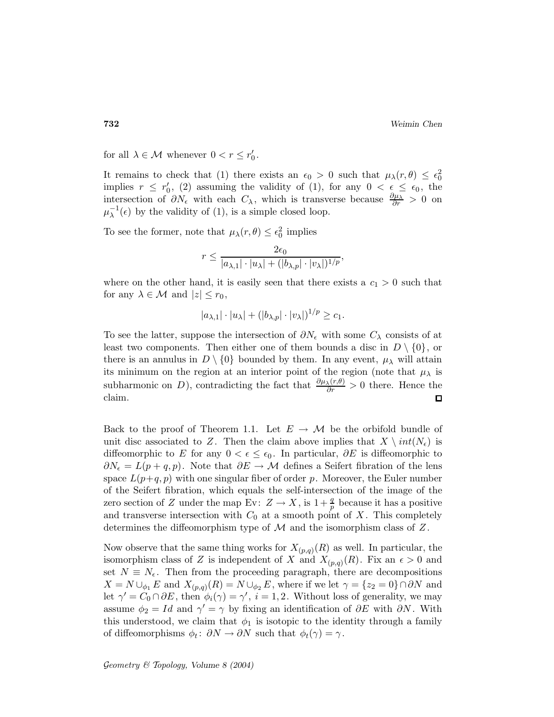for all  $\lambda \in \mathcal{M}$  whenever  $0 < r \leq r'_0$ .

It remains to check that (1) there exists an  $\epsilon_0 > 0$  such that  $\mu_\lambda(r,\theta) \leq \epsilon_0^2$ implies  $r \leq r_0'$ , (2) assuming the validity of (1), for any  $0 < \epsilon \leq \epsilon_0$ , the intersection of  $\partial N_{\epsilon}$  with each  $C_{\lambda}$ , which is transverse because  $\frac{\partial \mu_{\lambda}}{\partial r} > 0$  on  $\mu_{\lambda}^{-1}(\epsilon)$  by the validity of (1), is a simple closed loop.

To see the former, note that  $\mu_{\lambda}(r,\theta) \leq \epsilon_0^2$  implies

$$
r \le \frac{2\epsilon_0}{|a_{\lambda,1}|\cdot|u_\lambda| + (|b_{\lambda,p}|\cdot|v_\lambda|)^{1/p}},
$$

where on the other hand, it is easily seen that there exists a  $c_1 > 0$  such that for any  $\lambda \in \mathcal{M}$  and  $|z| \leq r_0$ ,

$$
|a_{\lambda,1}|\cdot|u_{\lambda}|+(|b_{\lambda,p}|\cdot|v_{\lambda}|)^{1/p}\geq c_1.
$$

To see the latter, suppose the intersection of  $\partial N_{\epsilon}$  with some  $C_{\lambda}$  consists of at least two components. Then either one of them bounds a disc in  $D \setminus \{0\}$ , or there is an annulus in  $D \setminus \{0\}$  bounded by them. In any event,  $\mu_{\lambda}$  will attain its minimum on the region at an interior point of the region (note that  $\mu_{\lambda}$  is subharmonic on D), contradicting the fact that  $\frac{\partial \mu_\lambda(r,\theta)}{\partial r} > 0$  there. Hence the claim.

Back to the proof of Theorem 1.1. Let  $E \to \mathcal{M}$  be the orbifold bundle of unit disc associated to Z. Then the claim above implies that  $X \setminus int(N_{\epsilon})$  is diffeomorphic to E for any  $0 < \epsilon \leq \epsilon_0$ . In particular, ∂E is diffeomorphic to  $\partial N_{\epsilon} = L(p+q,p)$ . Note that  $\partial E \to M$  defines a Seifert fibration of the lens space  $L(p+q, p)$  with one singular fiber of order p. Moreover, the Euler number of the Seifert fibration, which equals the self-intersection of the image of the zero section of Z under the map Ev:  $Z \to X$ , is  $1+\frac{q}{p}$  because it has a positive and transverse intersection with  $C_0$  at a smooth point of X. This completely determines the diffeomorphism type of  $\mathcal M$  and the isomorphism class of  $Z$ .

Now observe that the same thing works for  $X_{(p,q)}(R)$  as well. In particular, the isomorphism class of Z is independent of X and  $X_{(p,q)}(R)$ . Fix an  $\epsilon > 0$  and set  $N \equiv N_{\epsilon}$ . Then from the proceeding paragraph, there are decompositions  $X = N \cup_{\phi_1} E$  and  $X_{(p,q)}(R) = N \cup_{\phi_2} E$ , where if we let  $\gamma = \{z_2 = 0\} \cap \partial N$  and let  $\gamma' = C_0 \cap \partial E$ , then  $\phi_i(\gamma) = \gamma'$ ,  $i = 1, 2$ . Without loss of generality, we may assume  $\phi_2 = Id$  and  $\gamma' = \gamma$  by fixing an identification of  $\partial E$  with  $\partial N$ . With this understood, we claim that  $\phi_1$  is isotopic to the identity through a family of diffeomorphisms  $\phi_t$ :  $\partial N \to \partial N$  such that  $\phi_t(\gamma) = \gamma$ .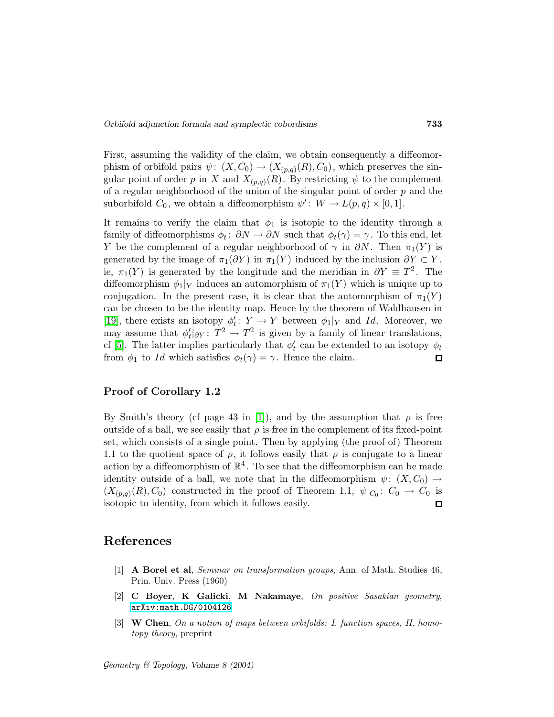First, assuming the validity of the claim, we obtain consequently a diffeomorphism of orbifold pairs  $\psi: (X, C_0) \to (X_{(p,q)}(R), C_0)$ , which preserves the singular point of order p in X and  $X_{(p,q)}(R)$ . By restricting  $\psi$  to the complement of a regular neighborhood of the union of the singular point of order  $p$  and the suborbifold  $C_0$ , we obtain a diffeomorphism  $\psi' : W \to L(p,q) \times [0,1]$ .

It remains to verify the claim that  $\phi_1$  is isotopic to the identity through a family of diffeomorphisms  $\phi_t$ :  $\partial N \to \partial N$  such that  $\phi_t(\gamma) = \gamma$ . To this end, let Y be the complement of a regular neighborhood of  $\gamma$  in  $\partial N$ . Then  $\pi_1(Y)$  is generated by the image of  $\pi_1(\partial Y)$  in  $\pi_1(Y)$  induced by the inclusion  $\partial Y \subset Y$ , ie,  $\pi_1(Y)$  is generated by the longitude and the meridian in  $\partial Y \equiv T^2$ . The diffeomorphism  $\phi_1|_Y$  induces an automorphism of  $\pi_1(Y)$  which is unique up to conjugation. In the present case, it is clear that the automorphism of  $\pi_1(Y)$ can be chosen to be the identity map. Hence by the theorem of Waldhausen in [\[19\]](#page-33-16), there exists an isotopy  $\phi'_t: Y \to Y$  between  $\phi_1|_Y$  and Id. Moreover, we may assume that  $\phi'_t|_{\partial Y} : T^2 \to T^2$  is given by a family of linear translations, cf [\[5\]](#page-33-17). The latter implies particularly that  $\phi'_t$  can be extended to an isotopy  $\phi_t$ from  $\phi_1$  to Id which satisfies  $\phi_t(\gamma) = \gamma$ . Hence the claim.  $\Box$ 

#### Proof of Corollary 1.2

By Smith's theory (cf page 43 in [\[1\]](#page-32-2)), and by the assumption that  $\rho$  is free outside of a ball, we see easily that  $\rho$  is free in the complement of its fixed-point set, which consists of a single point. Then by applying (the proof of) Theorem 1.1 to the quotient space of  $\rho$ , it follows easily that  $\rho$  is conjugate to a linear action by a diffeomorphism of  $\mathbb{R}^4$ . To see that the diffeomorphism can be made identity outside of a ball, we note that in the diffeomorphism  $\psi: (X, C_0) \rightarrow$  $(X_{(p,q)}(R), C_0)$  constructed in the proof of Theorem 1.1,  $\psi|_{C_0}: C_0 \to C_0$  is isotopic to identity, from which it follows easily. 口

## <span id="page-32-2"></span>References

- [1] A Borel et al, Seminar on transformation groups, Ann. of Math. Studies 46, Prin. Univ. Press (1960)
- <span id="page-32-1"></span>[2] C Boyer, K Galicki, M Nakamaye, On positive Sasakian geometry, [arXiv:math.DG/0104126](http://arxiv.org/abs/math.DG/0104126)
- <span id="page-32-0"></span>[3] W Chen, On a notion of maps between orbifolds: I. function spaces, II. homotopy theory, preprint